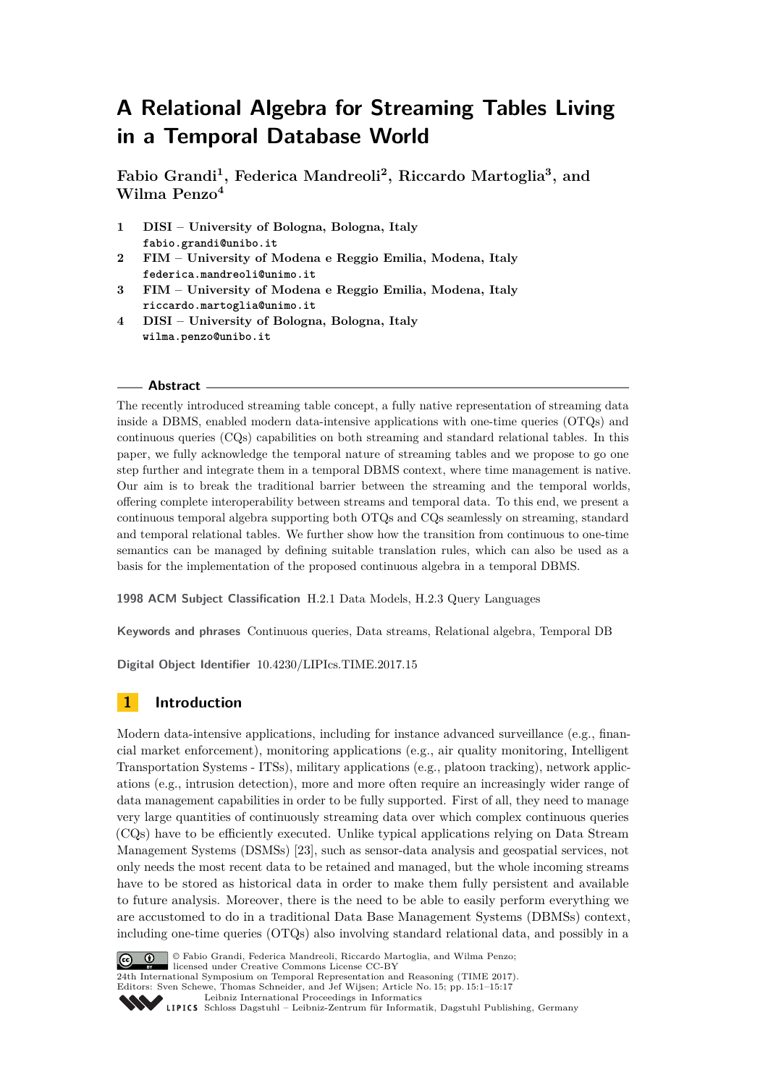# **A Relational Algebra for Streaming Tables Living in a Temporal Database World**

**Fabio Grandi<sup>1</sup> , Federica Mandreoli<sup>2</sup> , Riccardo Martoglia<sup>3</sup> , and Wilma Penzo<sup>4</sup>**

- **1 DISI University of Bologna, Bologna, Italy fabio.grandi@unibo.it**
- **2 FIM University of Modena e Reggio Emilia, Modena, Italy federica.mandreoli@unimo.it**
- **3 FIM University of Modena e Reggio Emilia, Modena, Italy riccardo.martoglia@unimo.it**
- **4 DISI University of Bologna, Bologna, Italy wilma.penzo@unibo.it**

## **Abstract**

The recently introduced streaming table concept, a fully native representation of streaming data inside a DBMS, enabled modern data-intensive applications with one-time queries (OTQs) and continuous queries (CQs) capabilities on both streaming and standard relational tables. In this paper, we fully acknowledge the temporal nature of streaming tables and we propose to go one step further and integrate them in a temporal DBMS context, where time management is native. Our aim is to break the traditional barrier between the streaming and the temporal worlds, offering complete interoperability between streams and temporal data. To this end, we present a continuous temporal algebra supporting both OTQs and CQs seamlessly on streaming, standard and temporal relational tables. We further show how the transition from continuous to one-time semantics can be managed by defining suitable translation rules, which can also be used as a basis for the implementation of the proposed continuous algebra in a temporal DBMS.

**1998 ACM Subject Classification** H.2.1 Data Models, H.2.3 Query Languages

**Keywords and phrases** Continuous queries, Data streams, Relational algebra, Temporal DB

**Digital Object Identifier** [10.4230/LIPIcs.TIME.2017.15](http://dx.doi.org/10.4230/LIPIcs.TIME.2017.15)

# <span id="page-0-0"></span>**1 Introduction**

Modern data-intensive applications, including for instance advanced surveillance (e.g., financial market enforcement), monitoring applications (e.g., air quality monitoring, Intelligent Transportation Systems - ITSs), military applications (e.g., platoon tracking), network applications (e.g., intrusion detection), more and more often require an increasingly wider range of data management capabilities in order to be fully supported. First of all, they need to manage very large quantities of continuously streaming data over which complex continuous queries (CQs) have to be efficiently executed. Unlike typical applications relying on Data Stream Management Systems (DSMSs) [\[23\]](#page-16-0), such as sensor-data analysis and geospatial services, not only needs the most recent data to be retained and managed, but the whole incoming streams have to be stored as historical data in order to make them fully persistent and available to future analysis. Moreover, there is the need to be able to easily perform everything we are accustomed to do in a traditional Data Base Management Systems (DBMSs) context, including one-time queries (OTQs) also involving standard relational data, and possibly in a



© Fabio Grandi, Federica Mandreoli, Riccardo Martoglia, and Wilma Penzo; licensed under Creative Commons License CC-BY

24th International Symposium on Temporal Representation and Reasoning (TIME 2017). Editors: Sven Schewe, Thomas Schneider, and Jef Wijsen; Article No. 15; pp. 15:1–15[:17](#page-16-1)

[Leibniz International Proceedings in Informatics](http://www.dagstuhl.de/lipics/)

[Schloss Dagstuhl – Leibniz-Zentrum für Informatik, Dagstuhl Publishing, Germany](http://www.dagstuhl.de)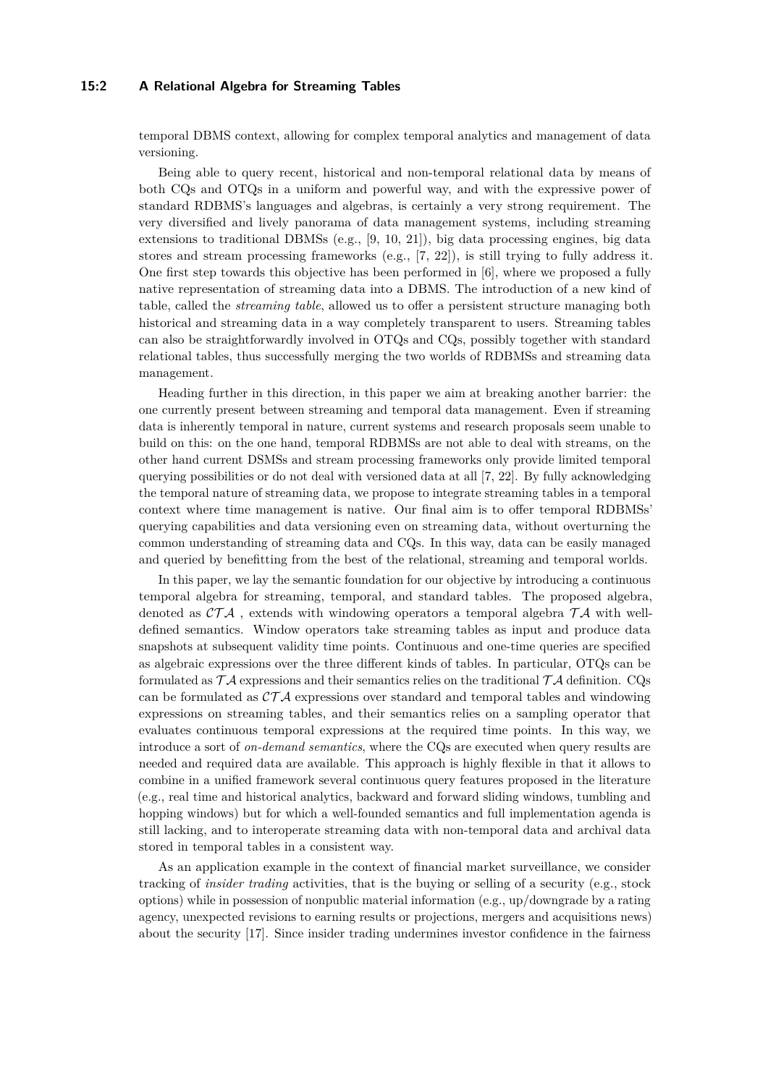## **15:2 A Relational Algebra for Streaming Tables**

temporal DBMS context, allowing for complex temporal analytics and management of data versioning.

Being able to query recent, historical and non-temporal relational data by means of both CQs and OTQs in a uniform and powerful way, and with the expressive power of standard RDBMS's languages and algebras, is certainly a very strong requirement. The very diversified and lively panorama of data management systems, including streaming extensions to traditional DBMSs (e.g., [\[9,](#page-15-0) [10,](#page-15-1) [21\]](#page-16-2)), big data processing engines, big data stores and stream processing frameworks (e.g., [\[7,](#page-15-2) [22\]](#page-16-3)), is still trying to fully address it. One first step towards this objective has been performed in [\[6\]](#page-15-3), where we proposed a fully native representation of streaming data into a DBMS. The introduction of a new kind of table, called the *streaming table*, allowed us to offer a persistent structure managing both historical and streaming data in a way completely transparent to users. Streaming tables can also be straightforwardly involved in OTQs and CQs, possibly together with standard relational tables, thus successfully merging the two worlds of RDBMSs and streaming data management.

Heading further in this direction, in this paper we aim at breaking another barrier: the one currently present between streaming and temporal data management. Even if streaming data is inherently temporal in nature, current systems and research proposals seem unable to build on this: on the one hand, temporal RDBMSs are not able to deal with streams, on the other hand current DSMSs and stream processing frameworks only provide limited temporal querying possibilities or do not deal with versioned data at all [\[7,](#page-15-2) [22\]](#page-16-3). By fully acknowledging the temporal nature of streaming data, we propose to integrate streaming tables in a temporal context where time management is native. Our final aim is to offer temporal RDBMSs' querying capabilities and data versioning even on streaming data, without overturning the common understanding of streaming data and CQs. In this way, data can be easily managed and queried by benefitting from the best of the relational, streaming and temporal worlds.

In this paper, we lay the semantic foundation for our objective by introducing a continuous temporal algebra for streaming, temporal, and standard tables. The proposed algebra, denoted as  $\mathcal{CTA}$ , extends with windowing operators a temporal algebra  $\mathcal{TA}$  with welldefined semantics. Window operators take streaming tables as input and produce data snapshots at subsequent validity time points. Continuous and one-time queries are specified as algebraic expressions over the three different kinds of tables. In particular, OTQs can be formulated as  $\mathcal{T} \mathcal{A}$  expressions and their semantics relies on the traditional  $\mathcal{T} \mathcal{A}$  definition. CQs can be formulated as  $\mathcal{CTA}$  expressions over standard and temporal tables and windowing expressions on streaming tables, and their semantics relies on a sampling operator that evaluates continuous temporal expressions at the required time points. In this way, we introduce a sort of *on-demand semantics*, where the CQs are executed when query results are needed and required data are available. This approach is highly flexible in that it allows to combine in a unified framework several continuous query features proposed in the literature (e.g., real time and historical analytics, backward and forward sliding windows, tumbling and hopping windows) but for which a well-founded semantics and full implementation agenda is still lacking, and to interoperate streaming data with non-temporal data and archival data stored in temporal tables in a consistent way.

As an application example in the context of financial market surveillance, we consider tracking of *insider trading* activities, that is the buying or selling of a security (e.g., stock options) while in possession of nonpublic material information (e.g., up/downgrade by a rating agency, unexpected revisions to earning results or projections, mergers and acquisitions news) about the security [\[17\]](#page-15-4). Since insider trading undermines investor confidence in the fairness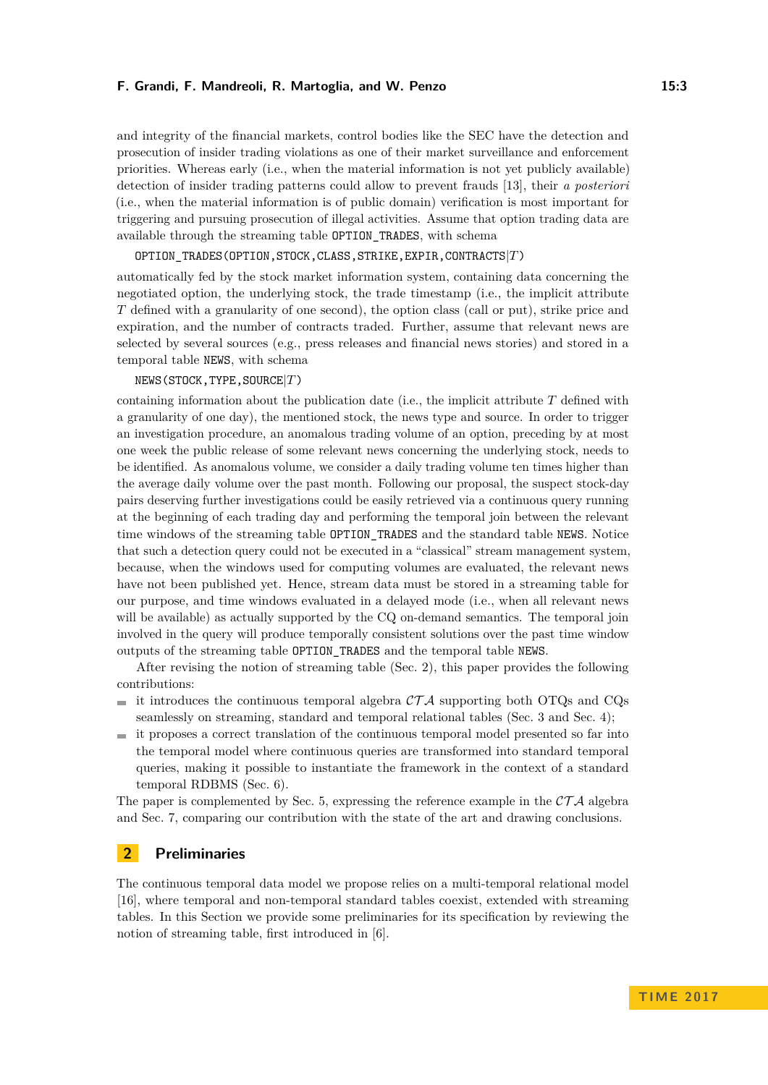and integrity of the financial markets, control bodies like the SEC have the detection and prosecution of insider trading violations as one of their market surveillance and enforcement priorities. Whereas early (i.e., when the material information is not yet publicly available) detection of insider trading patterns could allow to prevent frauds [\[13\]](#page-15-5), their *a posteriori* (i.e., when the material information is of public domain) verification is most important for triggering and pursuing prosecution of illegal activities. Assume that option trading data are available through the streaming table OPTION\_TRADES, with schema

## OPTION\_TRADES(OPTION,STOCK,CLASS,STRIKE,EXPIR,CONTRACTS|*T*)

automatically fed by the stock market information system, containing data concerning the negotiated option, the underlying stock, the trade timestamp (i.e., the implicit attribute *T* defined with a granularity of one second), the option class (call or put), strike price and expiration, and the number of contracts traded. Further, assume that relevant news are selected by several sources (e.g., press releases and financial news stories) and stored in a temporal table NEWS, with schema

#### NEWS(STOCK,TYPE,SOURCE|*T*)

containing information about the publication date (i.e., the implicit attribute *T* defined with a granularity of one day), the mentioned stock, the news type and source. In order to trigger an investigation procedure, an anomalous trading volume of an option, preceding by at most one week the public release of some relevant news concerning the underlying stock, needs to be identified. As anomalous volume, we consider a daily trading volume ten times higher than the average daily volume over the past month. Following our proposal, the suspect stock-day pairs deserving further investigations could be easily retrieved via a continuous query running at the beginning of each trading day and performing the temporal join between the relevant time windows of the streaming table OPTION\_TRADES and the standard table NEWS. Notice that such a detection query could not be executed in a "classical" stream management system, because, when the windows used for computing volumes are evaluated, the relevant news have not been published yet. Hence, stream data must be stored in a streaming table for our purpose, and time windows evaluated in a delayed mode (i.e., when all relevant news will be available) as actually supported by the CQ on-demand semantics. The temporal join involved in the query will produce temporally consistent solutions over the past time window outputs of the streaming table OPTION\_TRADES and the temporal table NEWS.

After revising the notion of streaming table (Sec. [2\)](#page-2-0), this paper provides the following contributions:

- it introduces the continuous temporal algebra  $\mathcal{CTA}$  supporting both OTQs and CQs seamlessly on streaming, standard and temporal relational tables (Sec. [3](#page-3-0) and Sec. [4\)](#page-4-0);
- it proposes a correct translation of the continuous temporal model presented so far into the temporal model where continuous queries are transformed into standard temporal queries, making it possible to instantiate the framework in the context of a standard temporal RDBMS (Sec. [6\)](#page-11-0).

The paper is complemented by Sec. [5,](#page-10-0) expressing the reference example in the  $\mathcal{CTA}$  algebra and Sec. [7,](#page-13-0) comparing our contribution with the state of the art and drawing conclusions.

## <span id="page-2-0"></span>**2 Preliminaries**

The continuous temporal data model we propose relies on a multi-temporal relational model [\[16\]](#page-15-6), where temporal and non-temporal standard tables coexist, extended with streaming tables. In this Section we provide some preliminaries for its specification by reviewing the notion of streaming table, first introduced in [\[6\]](#page-15-3).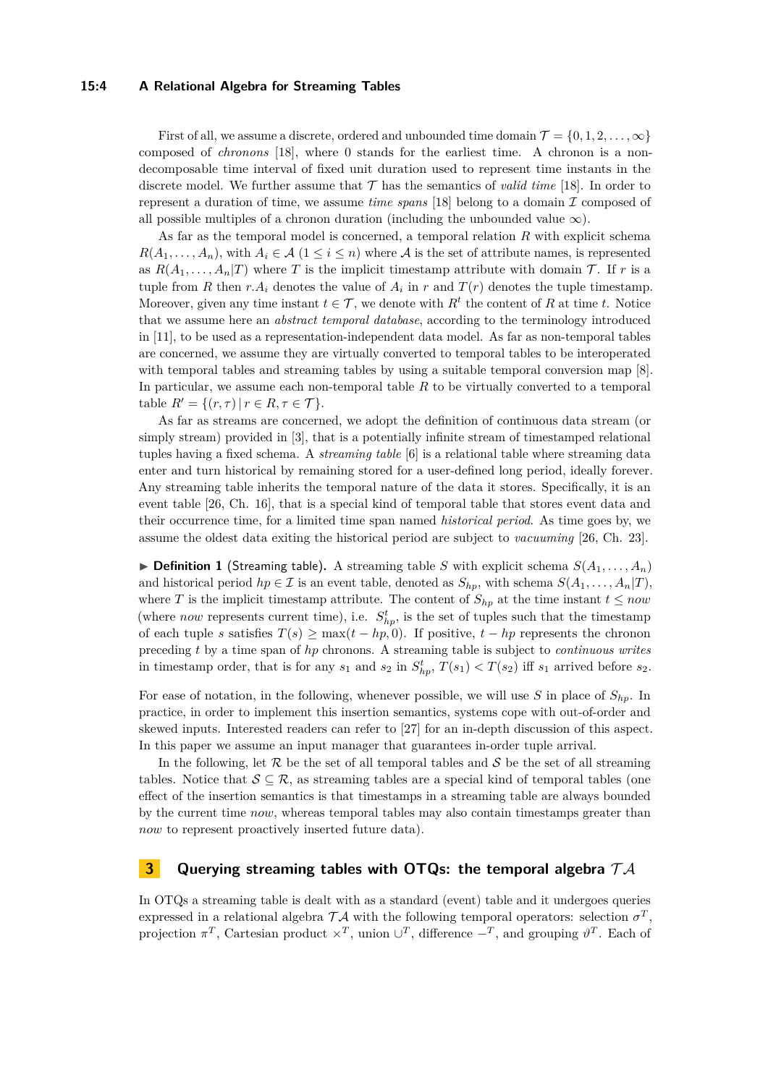## **15:4 A Relational Algebra for Streaming Tables**

First of all, we assume a discrete, ordered and unbounded time domain  $\mathcal{T} = \{0, 1, 2, \ldots, \infty\}$ composed of *chronons* [\[18\]](#page-15-7), where 0 stands for the earliest time. A chronon is a nondecomposable time interval of fixed unit duration used to represent time instants in the discrete model. We further assume that  $\mathcal T$  has the semantics of *valid time* [\[18\]](#page-15-7). In order to represent a duration of time, we assume *time spans* [\[18\]](#page-15-7) belong to a domain  $\mathcal I$  composed of all possible multiples of a chronon duration (including the unbounded value  $\infty$ ).

As far as the temporal model is concerned, a temporal relation *R* with explicit schema  $R(A_1, \ldots, A_n)$ , with  $A_i \in \mathcal{A}$  (1  $\leq i \leq n$ ) where A is the set of attribute names, is represented as  $R(A_1, \ldots, A_n|T)$  where T is the implicit timestamp attribute with domain T. If r is a tuple from *R* then  $r.A_i$  denotes the value of  $A_i$  in  $r$  and  $T(r)$  denotes the tuple timestamp. Moreover, given any time instant  $t \in \mathcal{T}$ , we denote with  $R^t$  the content of R at time *t*. Notice that we assume here an *abstract temporal database*, according to the terminology introduced in [\[11\]](#page-15-8), to be used as a representation-independent data model. As far as non-temporal tables are concerned, we assume they are virtually converted to temporal tables to be interoperated with temporal tables and streaming tables by using a suitable temporal conversion map [\[8\]](#page-15-9). In particular, we assume each non-temporal table *R* to be virtually converted to a temporal table  $R' = \{(r, \tau) | r \in R, \tau \in \mathcal{T} \}.$ 

As far as streams are concerned, we adopt the definition of continuous data stream (or simply stream) provided in [\[3\]](#page-15-10), that is a potentially infinite stream of timestamped relational tuples having a fixed schema. A *streaming table* [\[6\]](#page-15-3) is a relational table where streaming data enter and turn historical by remaining stored for a user-defined long period, ideally forever. Any streaming table inherits the temporal nature of the data it stores. Specifically, it is an event table [\[26,](#page-16-4) Ch. 16], that is a special kind of temporal table that stores event data and their occurrence time, for a limited time span named *historical period*. As time goes by, we assume the oldest data exiting the historical period are subject to *vacuuming* [\[26,](#page-16-4) Ch. 23].

 $\triangleright$  **Definition 1** (Streaming table). A streaming table *S* with explicit schema  $S(A_1, \ldots, A_n)$ and historical period  $hp \in \mathcal{I}$  is an event table, denoted as  $S_{hp}$ , with schema  $S(A_1, \ldots, A_n | T)$ , where *T* is the implicit timestamp attribute. The content of  $S_{hp}$  at the time instant  $t \leq now$ (where *now* represents current time), i.e.  $S_{hp}^t$ , is the set of tuples such that the timestamp of each tuple *s* satisfies  $T(s) \ge \max(t - hp, 0)$ . If positive,  $t - hp$  represents the chronon preceding *t* by a time span of *hp* chronons. A streaming table is subject to *continuous writes* in timestamp order, that is for any  $s_1$  and  $s_2$  in  $S^t_{hp}$ ,  $T(s_1) < T(s_2)$  iff  $s_1$  arrived before  $s_2$ .

For ease of notation, in the following, whenever possible, we will use *S* in place of *Shp*. In practice, in order to implement this insertion semantics, systems cope with out-of-order and skewed inputs. Interested readers can refer to [\[27\]](#page-16-5) for an in-depth discussion of this aspect. In this paper we assume an input manager that guarantees in-order tuple arrival.

In the following, let R be the set of all temporal tables and S be the set of all streaming tables. Notice that  $S \subseteq \mathcal{R}$ , as streaming tables are a special kind of temporal tables (one effect of the insertion semantics is that timestamps in a streaming table are always bounded by the current time *now*, whereas temporal tables may also contain timestamps greater than *now* to represent proactively inserted future data).

## <span id="page-3-0"></span>**3 Querying streaming tables with OTQs: the temporal algebra** T A

In OTQs a streaming table is dealt with as a standard (event) table and it undergoes queries expressed in a relational algebra  $TA$  with the following temporal operators: selection  $\sigma^T$ , projection  $\pi^T$ , Cartesian product  $\times^T$ , union  $\cup^T$ , difference  $-\pi$ , and grouping  $\vartheta^T$ . Each of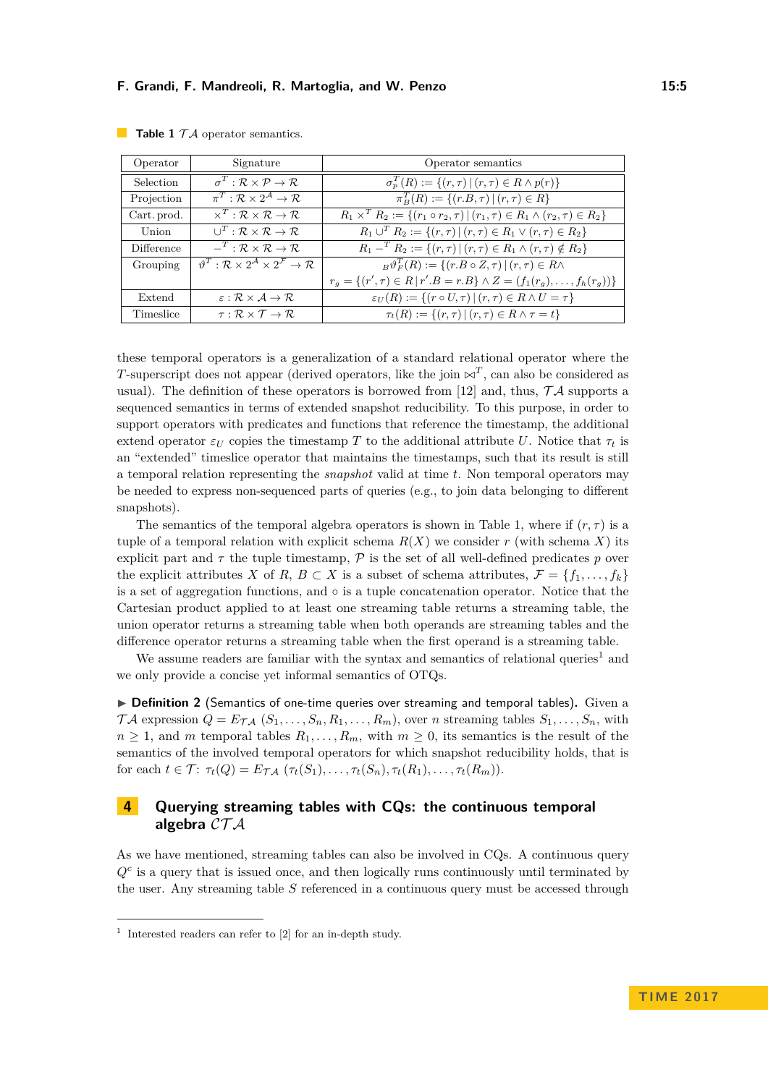| Operator    | Signature                                                                                         | Operator semantics                                                                              |
|-------------|---------------------------------------------------------------------------------------------------|-------------------------------------------------------------------------------------------------|
| Selection   | $\sigma^T : \mathcal{R} \times \mathcal{P} \to \mathcal{R}$                                       | $\sigma_p^T(R) := \{(r,\tau)   (r,\tau) \in R \wedge p(r)\}\$                                   |
| Projection  | $\pi^T : \mathcal{R} \times 2^{\mathcal{A}} \to \mathcal{R}$                                      | $\overline{\pi_R^T(R)} := \{(r.B, \tau)   (r, \tau) \in R\}$                                    |
| Cart. prod. | $\times^T : \mathcal{R} \times \mathcal{R} \rightarrow \mathcal{R}$                               | $R_1 \times^T R_2 := \{(r_1 \circ r_2, \tau)   (r_1, \tau) \in R_1 \land (r_2, \tau) \in R_2\}$ |
| Union       | $\bigcup^T : \mathcal{R} \times \mathcal{R} \to \mathcal{R}$                                      | $R_1 \cup^T R_2 := \{(r,\tau)   (r,\tau) \in R_1 \vee (r,\tau) \in R_2\}$                       |
| Difference  | $-^T : \mathcal{R} \times \mathcal{R} \to \mathcal{R}$                                            | $R_1 -^T R_2 := \{(r, \tau)   (r, \tau) \in R_1 \wedge (r, \tau) \notin R_2\}$                  |
| Grouping    | $\vartheta^T : \mathcal{R} \times 2^{\mathcal{A}} \times 2^{\mathcal{F}} \rightarrow \mathcal{R}$ | ${}_B\vartheta_F^T(R) := \{ (r.B \circ Z, \tau) \mid (r,\tau) \in R \wedge$                     |
|             |                                                                                                   | $r_q = \{(r', \tau) \in R \mid r'.B = r.B\} \wedge Z = (f_1(r_q), \ldots, f_h(r_q))\}$          |
| Extend      | $\varepsilon : \mathcal{R} \times \mathcal{A} \rightarrow \mathcal{R}$                            | $\varepsilon_U(R) := \{(r \circ U, \tau)   (r, \tau) \in R \wedge U = \tau\}$                   |
| Timeslice   | $\tau : \mathcal{R} \times \mathcal{T} \rightarrow \mathcal{R}$                                   | $\tau_t(R) := \{(r,\tau)   (r,\tau) \in R \land \tau = t\}$                                     |

<span id="page-4-1"></span>**Table 1**  $TA$  operator semantics.

these temporal operators is a generalization of a standard relational operator where the *T*-superscript does not appear (derived operators, like the join  $\bowtie^T$ , can also be considered as usual). The definition of these operators is borrowed from [\[12\]](#page-15-11) and, thus,  $\mathcal{T} \mathcal{A}$  supports a sequenced semantics in terms of extended snapshot reducibility. To this purpose, in order to support operators with predicates and functions that reference the timestamp, the additional extend operator  $\varepsilon_U$  copies the timestamp T to the additional attribute U. Notice that  $\tau_t$  is an "extended" timeslice operator that maintains the timestamps, such that its result is still a temporal relation representing the *snapshot* valid at time *t*. Non temporal operators may be needed to express non-sequenced parts of queries (e.g., to join data belonging to different snapshots).

The semantics of the temporal algebra operators is shown in Table [1,](#page-4-1) where if  $(r, \tau)$  is a tuple of a temporal relation with explicit schema  $R(X)$  we consider r (with schema X) its explicit part and  $\tau$  the tuple timestamp,  $\mathcal P$  is the set of all well-defined predicates  $p$  over the explicit attributes *X* of *R*,  $B \subset X$  is a subset of schema attributes,  $\mathcal{F} = \{f_1, \ldots, f_k\}$ is a set of aggregation functions, and ◦ is a tuple concatenation operator. Notice that the Cartesian product applied to at least one streaming table returns a streaming table, the union operator returns a streaming table when both operands are streaming tables and the difference operator returns a streaming table when the first operand is a streaming table.

We assume readers are familiar with the syntax and semantics of relational queries<sup>[1](#page-4-2)</sup> and we only provide a concise yet informal semantics of OTQs.

▶ Definition 2 (Semantics of one-time queries over streaming and temporal tables). Given a  $\mathcal{T}A$  expression  $Q = E_{\mathcal{T}A}$   $(S_1, \ldots, S_n, R_1, \ldots, R_m)$ , over *n* streaming tables  $S_1, \ldots, S_n$ , with  $n \geq 1$ , and *m* temporal tables  $R_1, \ldots, R_m$ , with  $m \geq 0$ , its semantics is the result of the semantics of the involved temporal operators for which snapshot reducibility holds, that is  $f$  for each  $t \in \mathcal{T}$ :  $\tau_t(Q) = E_{\mathcal{T}A}$   $(\tau_t(S_1), \ldots, \tau_t(S_n), \tau_t(R_1), \ldots, \tau_t(R_m))$ .

# <span id="page-4-0"></span>**4 Querying streaming tables with CQs: the continuous temporal algebra** CT A

As we have mentioned, streaming tables can also be involved in CQs. A continuous query  $Q<sup>c</sup>$  is a query that is issued once, and then logically runs continuously until terminated by the user. Any streaming table *S* referenced in a continuous query must be accessed through

<span id="page-4-2"></span><sup>1</sup> Interested readers can refer to [\[2\]](#page-15-12) for an in-depth study.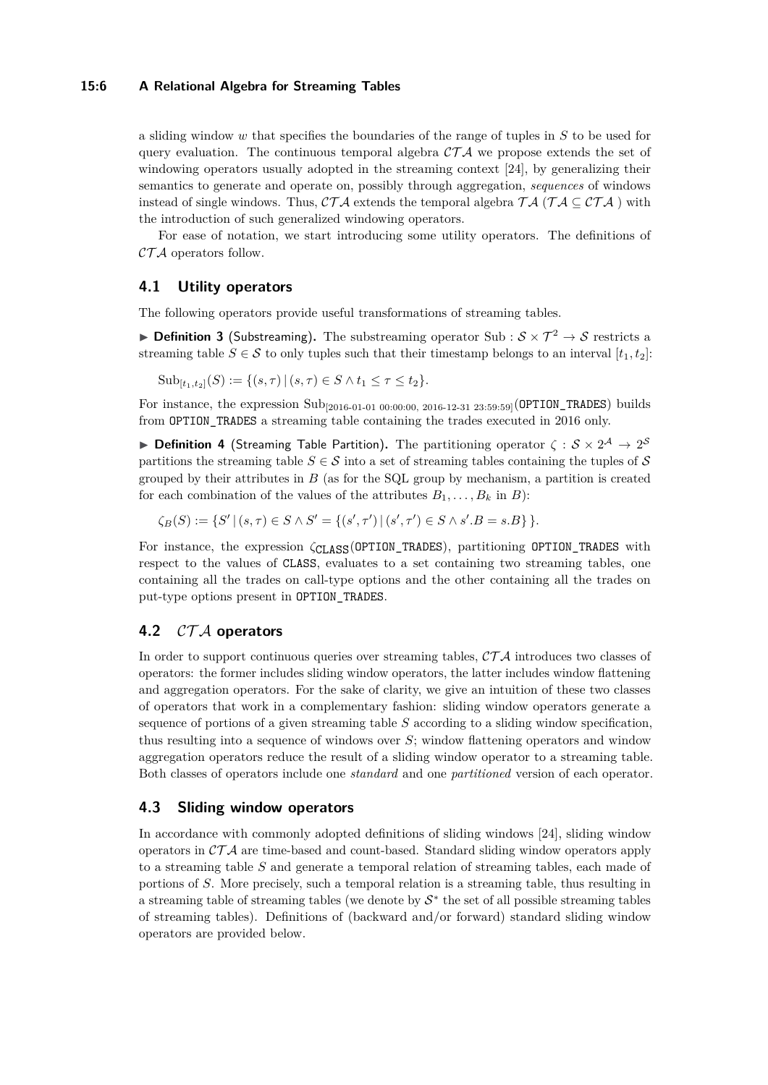## **15:6 A Relational Algebra for Streaming Tables**

a sliding window *w* that specifies the boundaries of the range of tuples in *S* to be used for query evaluation. The continuous temporal algebra  $\mathcal{CTA}$  we propose extends the set of windowing operators usually adopted in the streaming context [\[24\]](#page-16-6), by generalizing their semantics to generate and operate on, possibly through aggregation, *sequences* of windows instead of single windows. Thus,  $\mathcal{CT}A$  extends the temporal algebra  $\mathcal{TA}$  ( $\mathcal{TA} \subseteq \mathcal{CT}A$ ) with the introduction of such generalized windowing operators.

For ease of notation, we start introducing some utility operators. The definitions of  $\mathcal{CTA}$  operators follow.

## **4.1 Utility operators**

The following operators provide useful transformations of streaming tables.

**Definition 3** (Substreaming). The substreaming operator Sub :  $S \times T^2 \rightarrow S$  restricts a streaming table  $S \in \mathcal{S}$  to only tuples such that their timestamp belongs to an interval  $[t_1, t_2]$ :

 $\text{Sub}_{[t_1,t_2]}(S) := \{(s,\tau) | (s,\tau) \in S \wedge t_1 \leq \tau \leq t_2\}.$ 

For instance, the expression Sub<sub>[2016-01-01 00:00:00, 2016-12-31 23:59:59]</sub>(OPTION\_TRADES) builds from OPTION\_TRADES a streaming table containing the trades executed in 2016 only.

**Definition 4** (Streaming Table Partition). The partitioning operator  $\zeta : \mathcal{S} \times 2^{\mathcal{A}} \to 2^{\mathcal{S}}$ partitions the streaming table  $S \in \mathcal{S}$  into a set of streaming tables containing the tuples of S grouped by their attributes in *B* (as for the SQL group by mechanism, a partition is created for each combination of the values of the attributes  $B_1, \ldots, B_k$  in *B*):

 $\zeta_B(S) := \{ S' \mid (s, \tau) \in S \land S' = \{ (s', \tau') \mid (s', \tau') \in S \land s'.B = s.B \} \}.$ 

For instance, the expression *ζ*CLASS(OPTION\_TRADES), partitioning OPTION\_TRADES with respect to the values of CLASS, evaluates to a set containing two streaming tables, one containing all the trades on call-type options and the other containing all the trades on put-type options present in OPTION\_TRADES.

# <span id="page-5-0"></span>**4.2** CT A **operators**

In order to support continuous queries over streaming tables,  $\mathcal{CTA}$  introduces two classes of operators: the former includes sliding window operators, the latter includes window flattening and aggregation operators. For the sake of clarity, we give an intuition of these two classes of operators that work in a complementary fashion: sliding window operators generate a sequence of portions of a given streaming table *S* according to a sliding window specification, thus resulting into a sequence of windows over *S*; window flattening operators and window aggregation operators reduce the result of a sliding window operator to a streaming table. Both classes of operators include one *standard* and one *partitioned* version of each operator.

## **4.3 Sliding window operators**

In accordance with commonly adopted definitions of sliding windows [\[24\]](#page-16-6), sliding window operators in  $\mathcal{CTA}$  are time-based and count-based. Standard sliding window operators apply to a streaming table *S* and generate a temporal relation of streaming tables, each made of portions of *S*. More precisely, such a temporal relation is a streaming table, thus resulting in a streaming table of streaming tables (we denote by  $S^*$  the set of all possible streaming tables of streaming tables). Definitions of (backward and/or forward) standard sliding window operators are provided below.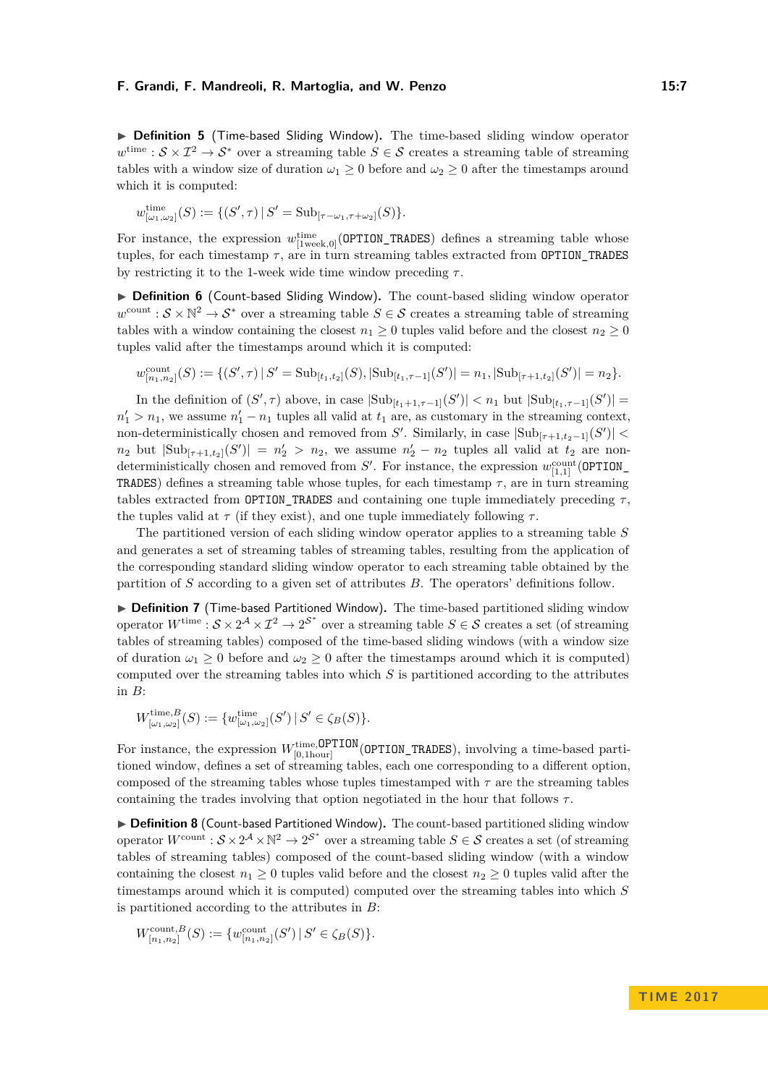▶ Definition 5 (Time-based Sliding Window). The time-based sliding window operator  $w^{\text{time}}$  :  $S \times \mathcal{I}^2 \to S^*$  over a streaming table  $S \in \mathcal{S}$  creates a streaming table of streaming tables with a window size of duration  $\omega_1 \geq 0$  before and  $\omega_2 \geq 0$  after the timestamps around which it is computed:

$$
w^{\text{time}}_{[\omega_1,\omega_2]}(S) := \{ (S',\tau) \, | \, S' = \text{Sub}_{[\tau-\omega_1,\tau+\omega_2]}(S) \}.
$$

For instance, the expression  $w_{\text{[1week,0]}}^{\text{time}}$  (OPTION\_TRADES) defines a streaming table whose tuples, for each timestamp *τ* , are in turn streaming tables extracted from OPTION\_TRADES by restricting it to the 1-week wide time window preceding *τ* .

▶ Definition 6 (Count-based Sliding Window). The count-based sliding window operator  $w^{\text{count}}$ :  $S \times \mathbb{N}^2 \to S^*$  over a streaming table  $S \in \mathcal{S}$  creates a streaming table of streaming tables with a window containing the closest  $n_1 \geq 0$  tuples valid before and the closest  $n_2 \geq 0$ tuples valid after the timestamps around which it is computed:

$$
w_{[n_1,n_2]}^{\text{count}}(S) := \{ (S',\tau) \mid S' = \text{Sub}_{[t_1,t_2]}(S), |\text{Sub}_{[t_1,\tau-1]}(S')| = n_1, |\text{Sub}_{[\tau+1,t_2]}(S')| = n_2 \}.
$$

In the definition of  $(S', \tau)$  above, in case  $|\text{Sub}_{[t_1+1,\tau-1]}(S')| < n_1$  but  $|\text{Sub}_{[t_1,\tau-1]}(S')|$  $n'_1 > n_1$ , we assume  $n'_1 - n_1$  tuples all valid at  $t_1$  are, as customary in the streaming context, non-deterministically chosen and removed from *S*'. Similarly, in case  $|\text{Sub}_{[\tau+1,t_2-1]}(S')|$  $n_2$  but  $|\text{Sub}_{[\tau+1,t_2]}(S')| = n'_2 > n_2$ , we assume  $n'_2 - n_2$  tuples all valid at  $t_2$  are nondeterministically chosen and removed from  $S'$ . For instance, the expression  $w_{[1,1]}^{\text{count}}($  **OPTION** TRADES) defines a streaming table whose tuples, for each timestamp  $\tau$ , are in turn streaming tables extracted from **OPTION\_TRADES** and containing one tuple immediately preceding  $\tau$ , the tuples valid at  $\tau$  (if they exist), and one tuple immediately following  $\tau$ .

The partitioned version of each sliding window operator applies to a streaming table *S* and generates a set of streaming tables of streaming tables, resulting from the application of the corresponding standard sliding window operator to each streaming table obtained by the partition of *S* according to a given set of attributes *B*. The operators' definitions follow.

▶ **Definition 7** (Time-based Partitioned Window). The time-based partitioned sliding window operator  $W^{\text{time}}$ :  $S \times 2^A \times \mathcal{I}^2 \to 2^S$  over a streaming table  $S \in \mathcal{S}$  creates a set (of streaming tables of streaming tables) composed of the time-based sliding windows (with a window size of duration  $\omega_1 \geq 0$  before and  $\omega_2 \geq 0$  after the timestamps around which it is computed) computed over the streaming tables into which *S* is partitioned according to the attributes in *B*:

$$
W^{\text{time},B}_{[\omega_1,\omega_2]}(S) := \{ w^{\text{time}}_{[\omega_1,\omega_2]}(S') \, | \, S' \in \zeta_B(S) \}.
$$

For instance, the expression  $W_{[0,1 \text{ hour}]}^{\text{time,OPTION}}$  (OPTION\_TRADES), involving a time-based partitioned window, defines a set of streaming tables, each one corresponding to a different option, composed of the streaming tables whose tuples timestamped with  $\tau$  are the streaming tables containing the trades involving that option negotiated in the hour that follows *τ* .

▶ Definition 8 (Count-based Partitioned Window). The count-based partitioned sliding window operator  $W^{\text{count}}$ :  $S \times 2^{\mathcal{A}} \times \mathbb{N}^2 \to 2^{\mathcal{S}^*}$  over a streaming table  $S \in \mathcal{S}$  creates a set (of streaming tables of streaming tables) composed of the count-based sliding window (with a window containing the closest  $n_1 \geq 0$  tuples valid before and the closest  $n_2 \geq 0$  tuples valid after the timestamps around which it is computed) computed over the streaming tables into which *S* is partitioned according to the attributes in *B*:

$$
W^{\text{count},B}_{[n_1,n_2]}(S) := \{w^{\text{count}}_{[n_1,n_2]}(S') \, | \, S' \in \zeta_B(S) \}.
$$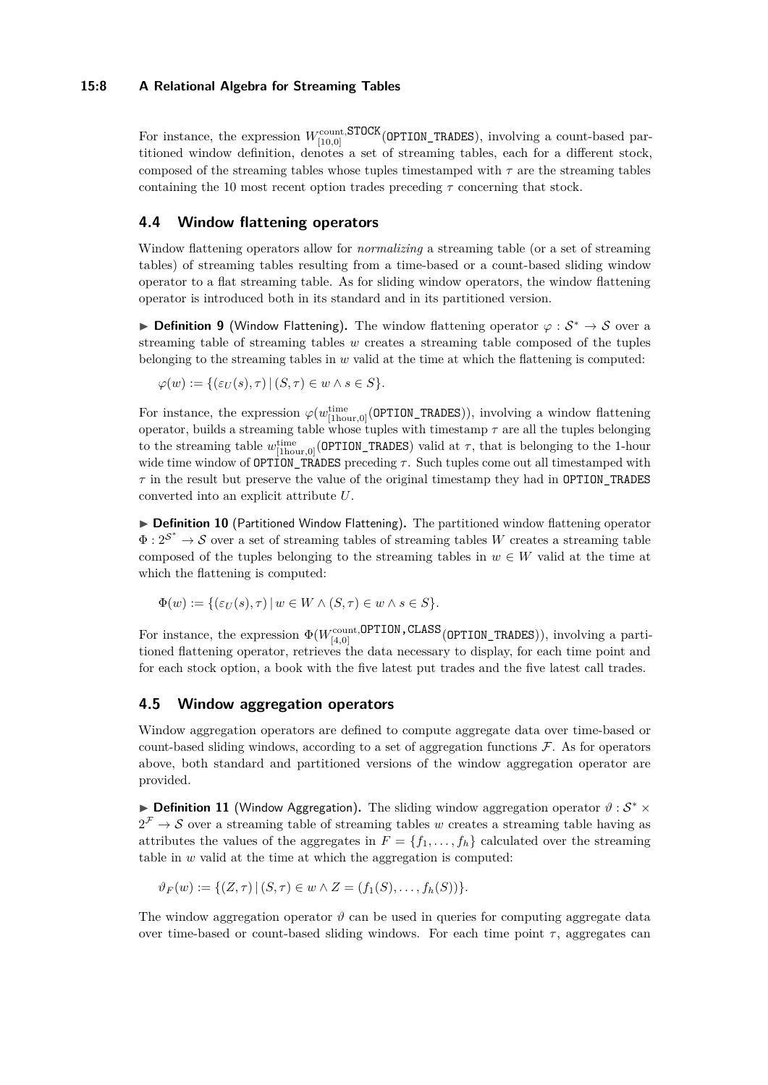## **15:8 A Relational Algebra for Streaming Tables**

For instance, the expression  $W_{[10,0]}^{\text{count,STOCK}}$  (OPTION\_TRADES), involving a count-based partitioned window definition, denotes a set of streaming tables, each for a different stock, composed of the streaming tables whose tuples timestamped with  $\tau$  are the streaming tables containing the 10 most recent option trades preceding *τ* concerning that stock.

## **4.4 Window flattening operators**

Window flattening operators allow for *normalizing* a streaming table (or a set of streaming tables) of streaming tables resulting from a time-based or a count-based sliding window operator to a flat streaming table. As for sliding window operators, the window flattening operator is introduced both in its standard and in its partitioned version.

**Definition 9** (Window Flattening). The window flattening operator  $\varphi : \mathcal{S}^* \to \mathcal{S}$  over a streaming table of streaming tables *w* creates a streaming table composed of the tuples belonging to the streaming tables in *w* valid at the time at which the flattening is computed:

$$
\varphi(w) := \{ (\varepsilon_U(s), \tau) \mid (S, \tau) \in w \land s \in S \}.
$$

For instance, the expression  $\varphi(w_{\text{[1hour,0]}}^{\text{time}}( \text{OPTION\_TRADES})),$  involving a window flattening operator, builds a streaming table whose tuples with timestamp  $\tau$  are all the tuples belonging to the streaming table  $w^{\text{time}}_{[1\text{hour},0]}($  **OPTION\_TRADES**) valid at  $\tau$ , that is belonging to the 1-hour wide time window of **OPTION** TRADES preceding  $\tau$ . Such tuples come out all timestamped with  $\tau$  in the result but preserve the value of the original timestamp they had in **OPTION\_TRADES** converted into an explicit attribute *U*.

▶ Definition 10 (Partitioned Window Flattening). The partitioned window flattening operator  $\Phi: 2^{\mathcal{S}^*} \to \mathcal{S}$  over a set of streaming tables of streaming tables *W* creates a streaming table composed of the tuples belonging to the streaming tables in  $w \in W$  valid at the time at which the flattening is computed:

$$
\Phi(w) := \{ (\varepsilon_U(s), \tau) \mid w \in W \land (S, \tau) \in w \land s \in S \}.
$$

For instance, the expression  $\Phi(W_{[4,0]}^{\text{count,OPTION},\text{CLASS}}($ OPTION\_TRADES $))$ , involving a partitioned flattening operator, retrieves the data necessary to display, for each time point and for each stock option, a book with the five latest put trades and the five latest call trades.

## **4.5 Window aggregation operators**

Window aggregation operators are defined to compute aggregate data over time-based or count-based sliding windows, according to a set of aggregation functions  $\mathcal F$ . As for operators above, both standard and partitioned versions of the window aggregation operator are provided.

► **Definition 11** (Window Aggregation). The sliding window aggregation operator  $\vartheta$  :  $S^*$  ×  $2^{\mathcal{F}} \to \mathcal{S}$  over a streaming table of streaming tables *w* creates a streaming table having as attributes the values of the aggregates in  $F = \{f_1, \ldots, f_h\}$  calculated over the streaming table in *w* valid at the time at which the aggregation is computed:

$$
\vartheta_F(w) := \{ (Z, \tau) \mid (S, \tau) \in w \land Z = (f_1(S), \dots, f_h(S)) \}.
$$

The window aggregation operator  $\vartheta$  can be used in queries for computing aggregate data over time-based or count-based sliding windows. For each time point  $\tau$ , aggregates can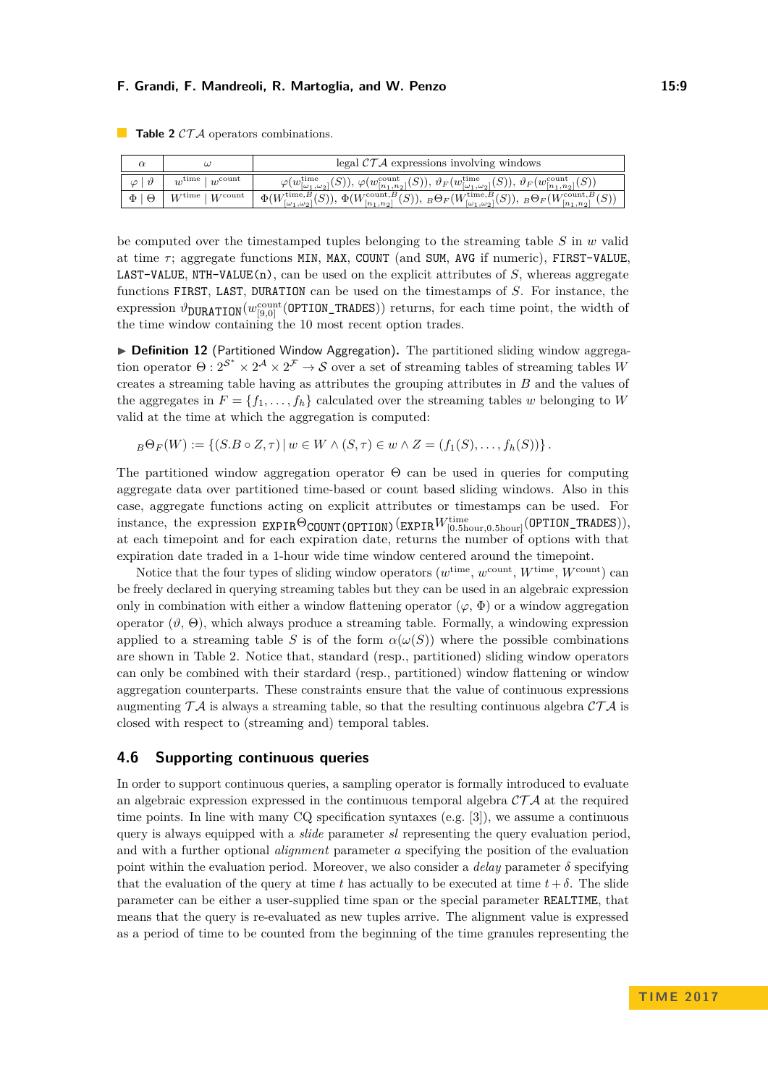|                       | $\omega$                                | legal $\mathcal{CTA}$ expressions involving windows                                                                                                                                                          |
|-----------------------|-----------------------------------------|--------------------------------------------------------------------------------------------------------------------------------------------------------------------------------------------------------------|
| $\varphi   \vartheta$ | $w^{\text{time}}$   $w^{\text{count}}$  | $\varphi(w_{[\omega_1,\omega_2]}^{\text{time}}(S)),\,\varphi(w_{[n_1,n_2]}^{\text{count}}(S)),\,\vartheta_F(w_{[\omega_1,\omega_2]}^{\text{time}}(S)),\,\vartheta_F(w_{[n_1,n_2]}^{\text{count}}(S))$        |
| $\Phi \mid \Theta$    | $W^{\text{time}} \mid W^{\text{count}}$ | $\Phi(W_{[\omega_1,\omega_2]}^{\text{time},B}(S)), \Phi(W_{[n_1,n_2]}^{\text{count},B}(S)), \, {}_B\Theta_F(W_{[\omega_1,\omega_2]}^{\text{time},B}(S)), \, {}_B\Theta_F(W_{[n_1,n_2]}^{\text{count},B}(S))$ |

<span id="page-8-0"></span>**Table 2**  $CTA$  operators combinations.

be computed over the timestamped tuples belonging to the streaming table *S* in *w* valid at time *τ* ; aggregate functions MIN, MAX, COUNT (and SUM, AVG if numeric), FIRST-VALUE, LAST-VALUE, NTH-VALUE(n), can be used on the explicit attributes of *S*, whereas aggregate functions FIRST, LAST, DURATION can be used on the timestamps of *S*. For instance, the  $\exp$ ression  $\vartheta_{\text{DURATION}}(w_{[9,0]}^{\text{count}}(\texttt{OPTION\_TRADES}))$  returns, for each time point, the width of the time window containing the 10 most recent option trades.

**Definition 12** (Partitioned Window Aggregation). The partitioned sliding window aggregation operator  $\Theta: 2^{\mathcal{S}^*} \times 2^{\mathcal{A}} \times 2^{\mathcal{F}} \to \mathcal{S}$  over a set of streaming tables of streaming tables *W* creates a streaming table having as attributes the grouping attributes in *B* and the values of the aggregates in  $F = \{f_1, \ldots, f_h\}$  calculated over the streaming tables *w* belonging to *W* valid at the time at which the aggregation is computed:

 $B \Theta_F(W) := \{ (S.B \circ Z, \tau) | w \in W \wedge (S, \tau) \in w \wedge Z = (f_1(S), \ldots, f_h(S)) \}.$ 

The partitioned window aggregation operator  $\Theta$  can be used in queries for computing aggregate data over partitioned time-based or count based sliding windows. Also in this case, aggregate functions acting on explicit attributes or timestamps can be used. For  $\text{instance, the expression } \text{EXPIR}\Theta_{\text{COUNT}(\text{OPTION})}(\text{EXPIR}W_{[0.5\text{hour},0.5\text{hour}]}^{\text{time}}(\text{OPTION\_TRADES})),$ at each timepoint and for each expiration date, returns the number of options with that expiration date traded in a 1-hour wide time window centered around the timepoint.

Notice that the four types of sliding window operators  $(w^{\text{time}}, w^{\text{count}}, W^{\text{time}}, W^{\text{count}})$  can be freely declared in querying streaming tables but they can be used in an algebraic expression only in combination with either a window flattening operator  $(\varphi, \Phi)$  or a window aggregation operator  $(\vartheta, \Theta)$ , which always produce a streaming table. Formally, a windowing expression applied to a streaming table *S* is of the form  $\alpha(\omega(S))$  where the possible combinations are shown in Table [2.](#page-8-0) Notice that, standard (resp., partitioned) sliding window operators can only be combined with their stardard (resp., partitioned) window flattening or window aggregation counterparts. These constraints ensure that the value of continuous expressions augmenting  $T\mathcal{A}$  is always a streaming table, so that the resulting continuous algebra  $\mathcal{CT}\mathcal{A}$  is closed with respect to (streaming and) temporal tables.

# **4.6 Supporting continuous queries**

In order to support continuous queries, a sampling operator is formally introduced to evaluate an algebraic expression expressed in the continuous temporal algebra  $\mathcal{CTA}$  at the required time points. In line with many CQ specification syntaxes (e.g. [\[3\]](#page-15-10)), we assume a continuous query is always equipped with a *slide* parameter *sl* representing the query evaluation period, and with a further optional *alignment* parameter *a* specifying the position of the evaluation point within the evaluation period. Moreover, we also consider a *delay* parameter  $\delta$  specifying that the evaluation of the query at time *t* has actually to be executed at time  $t + \delta$ . The slide parameter can be either a user-supplied time span or the special parameter REALTIME, that means that the query is re-evaluated as new tuples arrive. The alignment value is expressed as a period of time to be counted from the beginning of the time granules representing the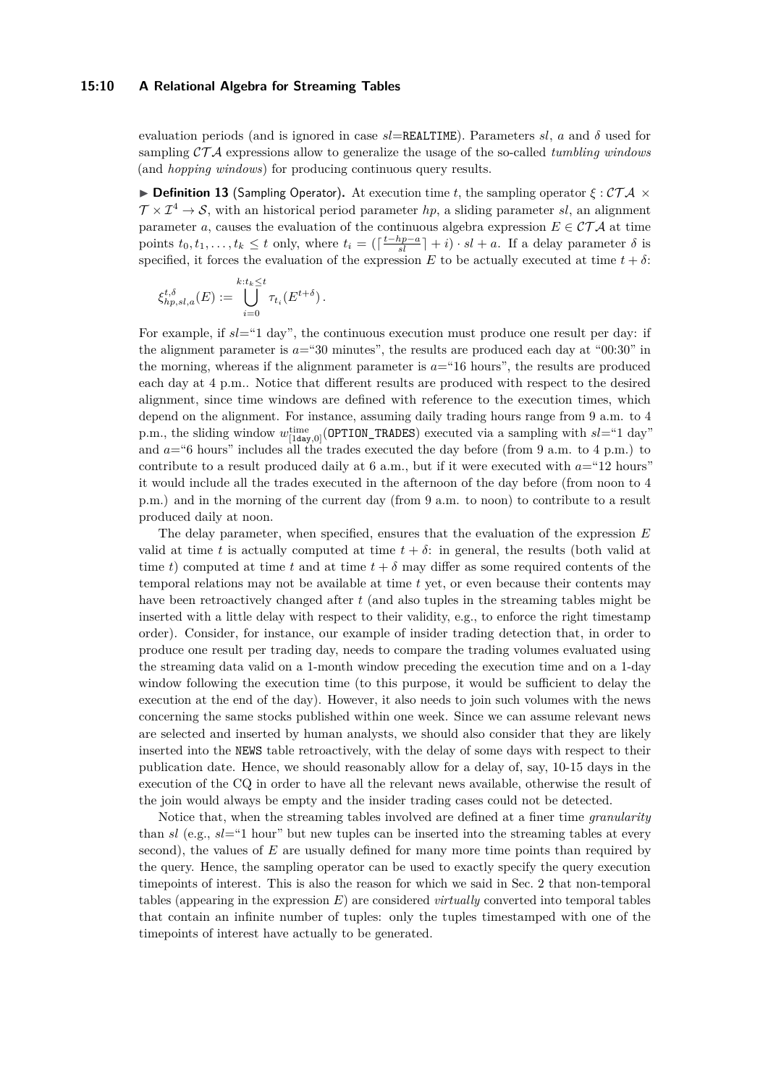## **15:10 A Relational Algebra for Streaming Tables**

evaluation periods (and is ignored in case *sl*=REALTIME). Parameters *sl*, *a* and *δ* used for sampling CT A expressions allow to generalize the usage of the so-called *tumbling windows* (and *hopping windows*) for producing continuous query results.

**Definition 13** (Sampling Operator). At execution time t, the sampling operator  $\xi$ : CTA  $\times$  $\mathcal{T} \times \mathcal{I}^4 \to \mathcal{S}$ , with an historical period parameter *hp*, a sliding parameter *sl*, an alignment parameter *a*, causes the evaluation of the continuous algebra expression  $E \in \mathcal{CTA}$  at time points  $t_0, t_1, \ldots, t_k \leq t$  only, where  $t_i = (\lceil \frac{t-hp-a}{sl} \rceil + i) \cdot sl + a$ . If a delay parameter  $\delta$  is specified, it forces the evaluation of the expression *E* to be actually executed at time  $t + \delta$ :

$$
\xi_{hp,sl,a}^{t,\delta}(E) := \bigcup_{i=0}^{k:t_k \leq t} \tau_{t_i}(E^{t+\delta}).
$$

For example, if  $sl=1$  day", the continuous execution must produce one result per day: if the alignment parameter is  $a=30$  minutes", the results are produced each day at " $00:30$ " in the morning, whereas if the alignment parameter is  $a=$  "16 hours", the results are produced each day at 4 p.m.. Notice that different results are produced with respect to the desired alignment, since time windows are defined with reference to the execution times, which depend on the alignment. For instance, assuming daily trading hours range from 9 a.m. to 4 p.m., the sliding window  $w_{[1\text{day},0]}^{\text{time}}$  (OPTION\_TRADES) executed via a sampling with  $sl=$ "1 day" and  $a = 6$  hours" includes all the trades executed the day before (from 9 a.m. to 4 p.m.) to contribute to a result produced daily at 6 a.m., but if it were executed with *a*="12 hours" it would include all the trades executed in the afternoon of the day before (from noon to 4 p.m.) and in the morning of the current day (from 9 a.m. to noon) to contribute to a result produced daily at noon.

The delay parameter, when specified, ensures that the evaluation of the expression *E* valid at time *t* is actually computed at time  $t + \delta$ : in general, the results (both valid at time *t*) computed at time *t* and at time  $t + \delta$  may differ as some required contents of the temporal relations may not be available at time *t* yet, or even because their contents may have been retroactively changed after *t* (and also tuples in the streaming tables might be inserted with a little delay with respect to their validity, e.g., to enforce the right timestamp order). Consider, for instance, our example of insider trading detection that, in order to produce one result per trading day, needs to compare the trading volumes evaluated using the streaming data valid on a 1-month window preceding the execution time and on a 1-day window following the execution time (to this purpose, it would be sufficient to delay the execution at the end of the day). However, it also needs to join such volumes with the news concerning the same stocks published within one week. Since we can assume relevant news are selected and inserted by human analysts, we should also consider that they are likely inserted into the NEWS table retroactively, with the delay of some days with respect to their publication date. Hence, we should reasonably allow for a delay of, say, 10-15 days in the execution of the CQ in order to have all the relevant news available, otherwise the result of the join would always be empty and the insider trading cases could not be detected.

Notice that, when the streaming tables involved are defined at a finer time *granularity* than *sl* (e.g., *sl*="1 hour" but new tuples can be inserted into the streaming tables at every second), the values of *E* are usually defined for many more time points than required by the query. Hence, the sampling operator can be used to exactly specify the query execution timepoints of interest. This is also the reason for which we said in Sec. [2](#page-2-0) that non-temporal tables (appearing in the expression *E*) are considered *virtually* converted into temporal tables that contain an infinite number of tuples: only the tuples timestamped with one of the timepoints of interest have actually to be generated.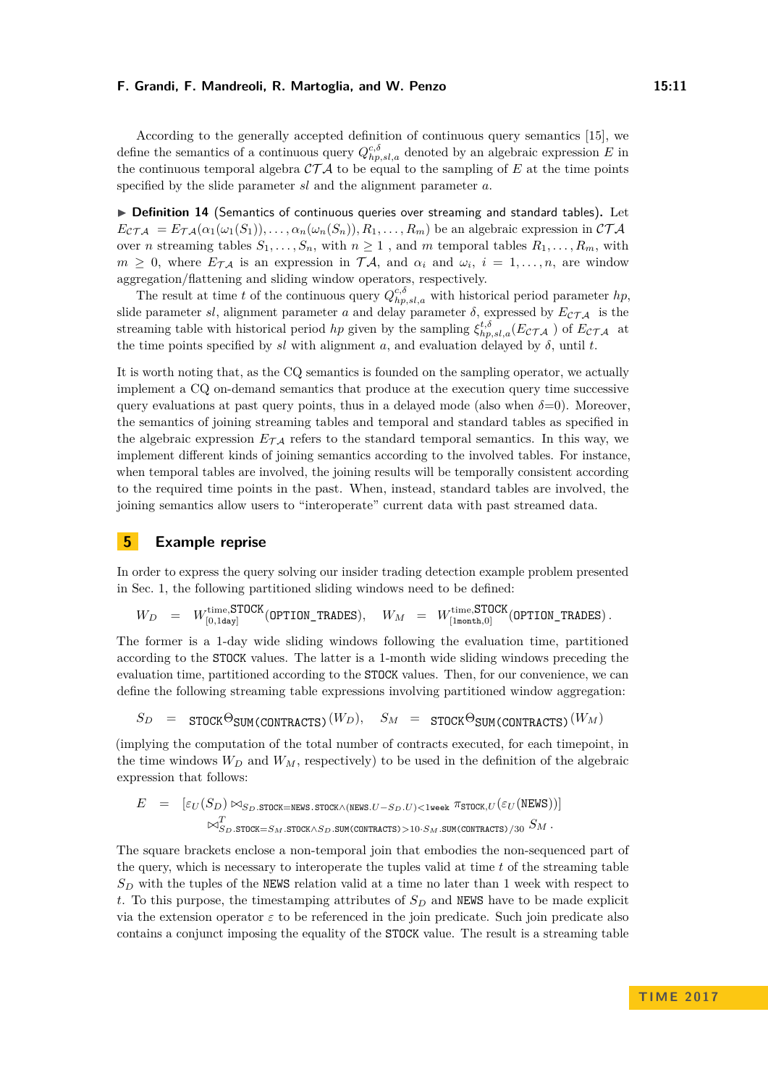According to the generally accepted definition of continuous query semantics [\[15\]](#page-15-13), we define the semantics of a continuous query  $Q_{hp,sl,a}^{c,\delta}$  denoted by an algebraic expression *E* in the continuous temporal algebra  $\mathcal{CTA}$  to be equal to the sampling of E at the time points specified by the slide parameter *sl* and the alignment parameter *a*.

▶ Definition 14 (Semantics of continuous queries over streaming and standard tables). Let  $E_{\mathcal{CTA}} = E_{\mathcal{TA}}(\alpha_1(\omega_1(S_1)), \ldots, \alpha_n(\omega_n(S_n)), R_1, \ldots, R_m)$  be an algebraic expression in  $\mathcal{CTA}$ over *n* streaming tables  $S_1, \ldots, S_n$ , with  $n \geq 1$ , and *m* temporal tables  $R_1, \ldots, R_m$ , with  $m \geq 0$ , where  $E_{\mathcal{TA}}$  is an expression in  $\mathcal{TA}$ , and  $\alpha_i$  and  $\omega_i$ ,  $i = 1, \ldots, n$ , are window aggregation/flattening and sliding window operators, respectively.

The result at time *t* of the continuous query  $Q_{hp,sl,a}^{c,\delta}$  with historical period parameter *hp*, slide parameter *sl*, alignment parameter *a* and delay parameter  $\delta$ , expressed by  $E_{\mathcal{CTA}}$  is the streaming table with historical period *hp* given by the sampling  $\xi_{hp,sl,a}^{t,\delta}(E_{\mathcal{CTA}})$  of  $E_{\mathcal{CTA}}$  at the time points specified by  $sl$  with alignment  $a$ , and evaluation delayed by  $\delta$ , until  $t$ .

It is worth noting that, as the CQ semantics is founded on the sampling operator, we actually implement a CQ on-demand semantics that produce at the execution query time successive query evaluations at past query points, thus in a delayed mode (also when  $\delta=0$ ). Moreover, the semantics of joining streaming tables and temporal and standard tables as specified in the algebraic expression  $E_{\mathcal{T},A}$  refers to the standard temporal semantics. In this way, we implement different kinds of joining semantics according to the involved tables. For instance, when temporal tables are involved, the joining results will be temporally consistent according to the required time points in the past. When, instead, standard tables are involved, the joining semantics allow users to "interoperate" current data with past streamed data.

## <span id="page-10-0"></span>**5 Example reprise**

In order to express the query solving our insider trading detection example problem presented in Sec. [1,](#page-0-0) the following partitioned sliding windows need to be defined:

$$
W_D \quad = \quad W_{[0,1\textrm{day}]}^{\textrm{time,STOCK}} \text{(OPTION\_TRADES)}, \quad W_M \quad = \quad W_{[1\textrm{month},0]}^{\textrm{time,STOCK}} \text{(OPTION\_TRADES)} \, .
$$

The former is a 1-day wide sliding windows following the evaluation time, partitioned according to the STOCK values. The latter is a 1-month wide sliding windows preceding the evaluation time, partitioned according to the STOCK values. Then, for our convenience, we can define the following streaming table expressions involving partitioned window aggregation:

$$
S_D~=~\texttt{STOCK}\Theta_{\texttt{SUM(CONTRACTS)}}(W_D),\quad S_M~=~\texttt{STOCK}\Theta_{\texttt{SUM(CONTRACTS)}}(W_M)
$$

(implying the computation of the total number of contracts executed, for each timepoint, in the time windows  $W_D$  and  $W_M$ , respectively) to be used in the definition of the algebraic expression that follows:

$$
E \quad = \quad [\varepsilon_U(S_D) \bowtie_{S_D.\texttt{STOCK}=\texttt{NENS}.\texttt{STOCK} \land (\texttt{NENS}.U-S_D.U) < 1 \texttt{week} \; \pi_{\texttt{STOCK},U}(\varepsilon_U(\texttt{NENS}))]
$$
 
$$
\bowtie^T_{S_D.\texttt{STOCK} = S_M.\texttt{STOCK} \land S_D.\texttt{SUM}(\texttt{CONTRACS}) > 10 \cdot S_M.\texttt{SUM}(\texttt{CONTRACS}) / 30} \; S_M \; .
$$

The square brackets enclose a non-temporal join that embodies the non-sequenced part of the query, which is necessary to interoperate the tuples valid at time *t* of the streaming table *S<sup>D</sup>* with the tuples of the NEWS relation valid at a time no later than 1 week with respect to *t*. To this purpose, the timestamping attributes of *S<sup>D</sup>* and NEWS have to be made explicit via the extension operator  $\varepsilon$  to be referenced in the join predicate. Such join predicate also contains a conjunct imposing the equality of the STOCK value. The result is a streaming table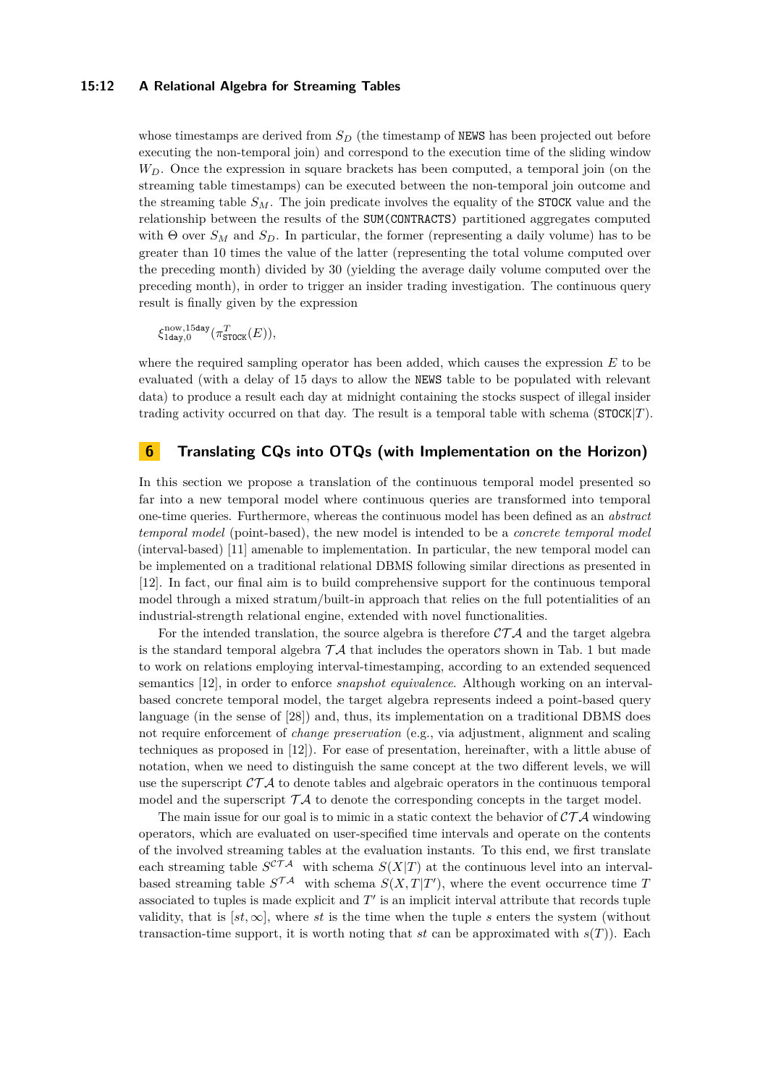## **15:12 A Relational Algebra for Streaming Tables**

whose timestamps are derived from  $S_D$  (the timestamp of NEWS has been projected out before executing the non-temporal join) and correspond to the execution time of the sliding window *WD*. Once the expression in square brackets has been computed, a temporal join (on the streaming table timestamps) can be executed between the non-temporal join outcome and the streaming table *SM*. The join predicate involves the equality of the STOCK value and the relationship between the results of the SUM(CONTRACTS) partitioned aggregates computed with Θ over  $S_M$  and  $S_D$ . In particular, the former (representing a daily volume) has to be greater than 10 times the value of the latter (representing the total volume computed over the preceding month) divided by 30 (yielding the average daily volume computed over the preceding month), in order to trigger an insider trading investigation. The continuous query result is finally given by the expression

 $\xi_{1\texttt{day},0}^{\text{now},15\texttt{day}}(\pi^T_{\texttt{STOCK}}(E)),$ 

where the required sampling operator has been added, which causes the expression *E* to be evaluated (with a delay of 15 days to allow the NEWS table to be populated with relevant data) to produce a result each day at midnight containing the stocks suspect of illegal insider trading activity occurred on that day. The result is a temporal table with schema (STOCK|*T*).

# <span id="page-11-0"></span>**6 Translating CQs into OTQs (with Implementation on the Horizon)**

In this section we propose a translation of the continuous temporal model presented so far into a new temporal model where continuous queries are transformed into temporal one-time queries. Furthermore, whereas the continuous model has been defined as an *abstract temporal model* (point-based), the new model is intended to be a *concrete temporal model* (interval-based) [\[11\]](#page-15-8) amenable to implementation. In particular, the new temporal model can be implemented on a traditional relational DBMS following similar directions as presented in [\[12\]](#page-15-11). In fact, our final aim is to build comprehensive support for the continuous temporal model through a mixed stratum/built-in approach that relies on the full potentialities of an industrial-strength relational engine, extended with novel functionalities.

For the intended translation, the source algebra is therefore  $\mathcal{CTA}$  and the target algebra is the standard temporal algebra  $\mathcal{T} \mathcal{A}$  that includes the operators shown in Tab. [1](#page-4-1) but made to work on relations employing interval-timestamping, according to an extended sequenced semantics [\[12\]](#page-15-11), in order to enforce *snapshot equivalence*. Although working on an intervalbased concrete temporal model, the target algebra represents indeed a point-based query language (in the sense of [\[28\]](#page-16-7)) and, thus, its implementation on a traditional DBMS does not require enforcement of *change preservation* (e.g., via adjustment, alignment and scaling techniques as proposed in [\[12\]](#page-15-11)). For ease of presentation, hereinafter, with a little abuse of notation, when we need to distinguish the same concept at the two different levels, we will use the superscript  $\mathcal{CTA}$  to denote tables and algebraic operators in the continuous temporal model and the superscript  $\mathcal{T} \mathcal{A}$  to denote the corresponding concepts in the target model.

The main issue for our goal is to mimic in a static context the behavior of  $\mathcal{CTA}$  windowing operators, which are evaluated on user-specified time intervals and operate on the contents of the involved streaming tables at the evaluation instants. To this end, we first translate each streaming table  $S^{CTA}$  with schema  $S(X|T)$  at the continuous level into an intervalbased streaming table  $S^{\mathcal{T}\mathcal{A}}$  with schema  $S(X,T|T')$ , where the event occurrence time *T* associated to tuples is made explicit and  $T'$  is an implicit interval attribute that records tuple validity, that is  $[st, \infty]$ , where *st* is the time when the tuple *s* enters the system (without transaction-time support, it is worth noting that *st* can be approximated with  $s(T)$ ). Each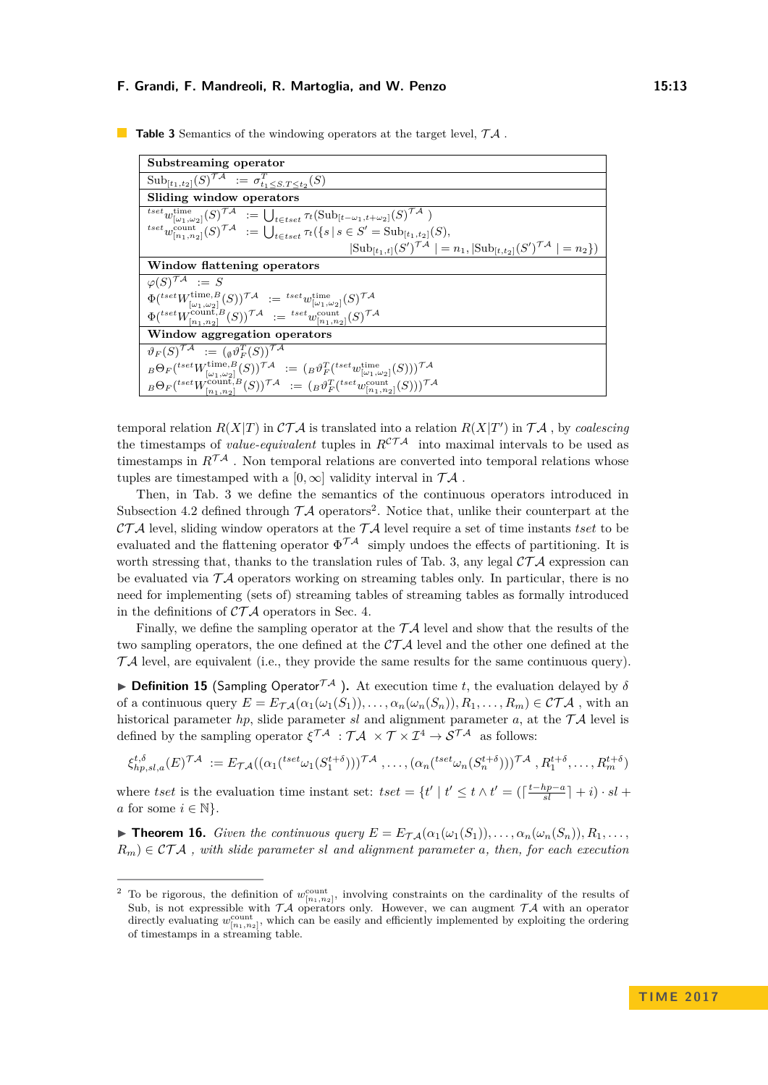| Substreaming operator                                                                                                                                              |  |  |  |
|--------------------------------------------------------------------------------------------------------------------------------------------------------------------|--|--|--|
| $\text{Sub}_{[t_1,t_2]}(S)^{\mathcal{TA}} := \sigma_{t_1 < S, T \leq t_2}^T(S)$                                                                                    |  |  |  |
| Sliding window operators                                                                                                                                           |  |  |  |
| ${}^{tset}w^{\text{time}}_{[\omega_1,\omega_2]}(S)^{\mathcal{TA}} \; := \bigcup_{t \in tset} \tau_t(\text{Sub}_{[t-\omega_1,t+\omega_2]}(S)^{\gamma \mathcal{A}})$ |  |  |  |
| ${}^{tset}w_{[n_1,n_2]}^{count}(S)^{\mathcal{TA}} \ := \bigcup_{t \in t \text{ set}} \tau_t(\{s \mid s \in S' = \text{Sub}_{[t_1,t_2]}(S),$                        |  |  |  |
| $ \text{Sub}_{[t_1,t]}(S')^{\mathcal{TA}}  = n_1,  \text{Sub}_{[t,t_2]}(S')^{\mathcal{TA}}  = n_2 \})$                                                             |  |  |  |
| Window flattening operators                                                                                                                                        |  |  |  |
| $\varphi(S)^{\mathcal{T}\mathcal{A}} := S$                                                                                                                         |  |  |  |
| $\Phi({}^{tset}W^{\text{time},B}_{[\omega_1,\omega_2]}(S))^{\mathcal{TA}} \; := \; {}^{tset}w^{\text{time}}_{[\omega_1,\omega_2]}(S)^{\mathcal{TA}}$               |  |  |  |
| $\Phi({}^{tset}W^{\text{count},B}_{[n_1,n_2]}(S))^{\mathcal{TA}} \; := \; {}^{tset}w^{\text{count}}_{[n_1,n_2]}(S)^{\mathcal{TA}}$                                 |  |  |  |
| Window aggregation operators                                                                                                                                       |  |  |  |
| $\vartheta_F(S)^{\mathcal{T}\mathcal{A}} := (\vartheta \vartheta_F^T(S))^{\mathcal{T}\mathcal{A}}$                                                                 |  |  |  |
| ${}_{B}\Theta_F({}^{tset}W_{[\omega_1,\omega_2]}^{time,B}(S))^{\mathcal{TA}}\;:=\;({}_B\vartheta_F^T({}^{tset}w_{[\omega_1,\omega_2]}^{time}(S)))^{\mathcal{TA}}$  |  |  |  |
| ${}_B\Theta_F({}^{tset}W_{[n_1,n_2]}^{\text{count},B}(S))^{\mathcal{TA}}\,\, :=\,\, ({}_B\vartheta_F^T({}^{tset}w_{[n_1,n_2]}^{\text{count}}(S)))^{\mathcal{TA}}$  |  |  |  |

<span id="page-12-0"></span>**Table 3** Semantics of the windowing operators at the target level,  $TA$ .

temporal relation  $R(X|T)$  in  $\mathcal{CTA}$  is translated into a relation  $R(X|T')$  in  $\mathcal{TA}$ , by *coalescing* the timestamps of *value-equivalent* tuples in  $R^{CTA}$  into maximal intervals to be used as timestamps in  $R^{\mathcal{T} A}$ . Non temporal relations are converted into temporal relations whose tuples are timestamped with a [0,  $\infty$ ] validity interval in  $\mathcal{T} \mathcal{A}$ .

Then, in Tab. [3](#page-12-0) we define the semantics of the continuous operators introduced in Subsection [4.2](#page-5-0) defined through  $TA$  operators<sup>[2](#page-12-1)</sup>. Notice that, unlike their counterpart at the  $\mathcal{CTA}$  level, sliding window operators at the  $\mathcal{TA}$  level require a set of time instants *tset* to be evaluated and the flattening operator  $\Phi^{\mathcal{TA}}$  simply undoes the effects of partitioning. It is worth stressing that, thanks to the translation rules of Tab. [3,](#page-12-0) any legal  $\mathcal{CTA}$  expression can be evaluated via  $\mathcal{T} \mathcal{A}$  operators working on streaming tables only. In particular, there is no need for implementing (sets of) streaming tables of streaming tables as formally introduced in the definitions of  $\mathcal{CTA}$  operators in Sec. [4.](#page-4-0)

Finally, we define the sampling operator at the  $T\mathcal{A}$  level and show that the results of the two sampling operators, the one defined at the  $\mathcal{CTA}$  level and the other one defined at the  $T\mathcal{A}$  level, are equivalent (i.e., they provide the same results for the same continuous query).

**Definition 15** (Sampling Operator  $\mathcal{T}^{\mathcal{A}}$ ). At execution time *t*, the evaluation delayed by  $\delta$ of a continuous query  $E = E_{\mathcal{T}_{\mathcal{A}}}(\alpha_1(\omega_1(S_1)), \ldots, \alpha_n(\omega_n(S_n)), R_1, \ldots, R_m) \in \mathcal{CTA}$ , with an historical parameter *hp*, slide parameter *sl* and alignment parameter *a*, at the  $TA$  level is defined by the sampling operator  $\xi^{\mathcal{T}\mathcal{A}}$  :  $\mathcal{T}\mathcal{A} \times \mathcal{T} \times \mathcal{I}^4 \to \mathcal{S}^{\mathcal{T}\mathcal{A}}$  as follows:

$$
\xi_{hp,s,l,a}^{t,\delta}(E)^{\mathcal{TA}} := E_{\mathcal{TA}}((\alpha_1({}^{tset}\omega_1(S_1^{t+\delta})))^{\mathcal{TA}}, \dots, (\alpha_n({}^{tset}\omega_n(S_n^{t+\delta})))^{\mathcal{TA}}, R_1^{t+\delta}, \dots, R_m^{t+\delta})
$$

where *tset* is the evaluation time instant set:  $tset = \{t' | t' \le t \wedge t' = (\lceil \frac{t-hp-a}{sl} \rceil + i) \cdot sl + \cdots \}$ *a* for some  $i \in \mathbb{N}$ .

► **Theorem 16.** *Given the continuous query*  $E = E_{\mathcal{TA}}(\alpha_1(\omega_1(S_1)), \ldots, \alpha_n(\omega_n(S_n)), R_1, \ldots,$  $R_m$ )  $\in$  CTA, with slide parameter *sl* and alignment parameter *a*, then, for each execution

<span id="page-12-1"></span><sup>&</sup>lt;sup>2</sup> To be rigorous, the definition of  $w_{[n_1,n_2]}^{\text{count}}$ , involving constraints on the cardinality of the results of Sub, is not expressible with  $TA$  operators only. However, we can augment  $TA$  with an operator directly evaluating  $w_{[n_1,n_2]}^{\text{count}}$ , which can be easily and efficiently implemented by exploiting the ordering of timestamps in a streaming table.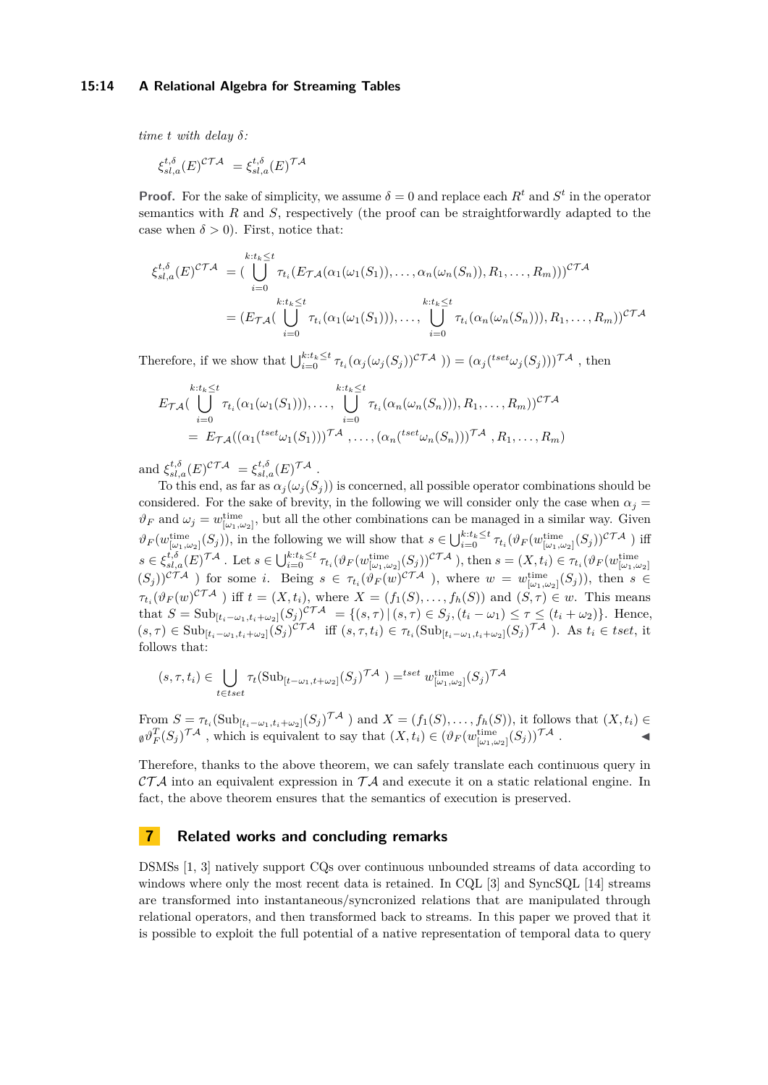## **15:14 A Relational Algebra for Streaming Tables**

*time*  $t$  *with delay*  $\delta$ *:* 

$$
\xi_{sl,a}^{t,\delta}(E)^{\mathcal{CTA}} = \xi_{sl,a}^{t,\delta}(E)^{\mathcal{TA}}
$$

**Proof.** For the sake of simplicity, we assume  $\delta = 0$  and replace each  $R^t$  and  $S^t$  in the operator semantics with *R* and *S*, respectively (the proof can be straightforwardly adapted to the case when  $\delta > 0$ ). First, notice that:

$$
\xi_{sl,a}^{t,\delta}(E)^{\mathcal{CTA}} = \left( \bigcup_{i=0}^{k:t_k \leq t} \tau_{t_i}(E_{\mathcal{TA}}(\alpha_1(\omega_1(S_1)), \ldots, \alpha_n(\omega_n(S_n)), R_1, \ldots, R_m)) \right)^{\mathcal{CTA}}
$$

$$
= (E_{\mathcal{TA}}(\bigcup_{i=0}^{k:t_k \leq t} \tau_{t_i}(\alpha_1(\omega_1(S_1))), \ldots, \bigcup_{i=0}^{k:t_k \leq t} \tau_{t_i}(\alpha_n(\omega_n(S_n))), R_1, \ldots, R_m))^{\mathcal{CTA}}
$$

Therefore, if we show that  $\bigcup_{i=0}^{k:t_k \le t} \tau_{t_i}(\alpha_j(\omega_j(S_j))^{\mathcal{CTA}}) = (\alpha_j({}^{tset}\omega_j(S_j)))^{\mathcal{TA}}$ , then

$$
E_{\mathcal{TA}}\left(\bigcup_{i=0}^{k:t_k \leq t} \tau_{t_i}(\alpha_1(\omega_1(S_1))), \dots, \bigcup_{i=0}^{k:t_k \leq t} \tau_{t_i}(\alpha_n(\omega_n(S_n))), R_1, \dots, R_m)\right)^{c\mathcal{TA}}
$$
  
= 
$$
E_{\mathcal{TA}}\left((\alpha_1({}^{tset}\omega_1(S_1)))\right)^{\mathcal{TA}}, \dots, (\alpha_n({}^{tset}\omega_n(S_n)))\right)^{\mathcal{TA}}, R_1, \dots, R_m)
$$

and  $\xi_{sl,a}^{t,\delta}(E)^{C\mathcal{TA}} = \xi_{sl,a}^{t,\delta}(E)^{\mathcal{TA}}$ .

To this end, as far as  $\alpha_j(\omega_j(S_j))$  is concerned, all possible operator combinations should be considered. For the sake of brevity, in the following we will consider only the case when  $\alpha_j =$  $\vartheta_F$  and  $\omega_j = w^{\text{time}}_{[\omega_1,\omega_2]}$ , but all the other combinations can be managed in a similar way. Given  $\vartheta_F(w_{[\omega_1,\omega_2]}^{\text{time}}(S_j))$ , in the following we will show that  $s \in \bigcup_{i=0}^{k:t_k \leq t} \tau_{t_i}(\vartheta_F(w_{[\omega_1,\omega_2]}^{\text{time}}(S_j))^{c\mathcal{TA}})$  iff  $s \in \xi_{sl,a}^{t,\delta}(E)^{\mathcal{TA}}$ . Let  $s \in \bigcup_{i=0}^{k:t_k \leq t} \tau_{t_i}(\vartheta_F(w_{[\omega_1,\omega_2]}^{\text{time}}(S_j))^{\mathcal{CTA}})$ , then  $s = (X, t_i) \in \tau_{t_i}(\vartheta_F(w_{[\omega_1,\omega_2]}^{\text{time}}(S_j))^{\mathcal{CTA}})$  for some *i*. Being  $s \in \tau_{t_i}(\vartheta_F(w)^{\mathcal{CTA}})$ , where  $w = w_{[\omega_1,\omega_2]}^{\text{$  $\tau_{t_i}(\vartheta_F(w)^{c\mathcal{T}\mathcal{A}})$  iff  $t = (X, t_i)$ , where  $X = (f_1(S), \ldots, f_h(S))$  and  $(S, \tau) \in w$ . This means that  $S = Sub_{[t_i - \omega_1, t_i + \omega_2]}(S_j)^{c \mathcal{T} A} = \{(s, \tau) | (s, \tau) \in S_j, (t_i - \omega_1) \leq \tau \leq (t_i + \omega_2)\}\.$  Hence,  $(s,\tau) \in \mathrm{Sub}_{[t_i-\omega_1,t_i+\omega_2]}(S_j)^{c\mathcal{TA}}$  iff  $(s,\tau,t_i) \in \tau_{t_i}(\mathrm{Sub}_{[t_i-\omega_1,t_i+\omega_2]}(S_j)^{\mathcal{TA}})$ . As  $t_i \in \mathrm{tset}$ , it follows that:

$$
(s, \tau, t_i) \in \bigcup_{t \in test} \tau_t(\text{Sub}_{[t-\omega_1, t+\omega_2]}(S_j)^{\mathcal{TA}}) =^{tset} w^{\text{time}}_{[\omega_1, \omega_2]}(S_j)^{\mathcal{TA}}
$$

From  $S = \tau_{t_i}(\text{Sub}_{[t_i-\omega_1,t_i+\omega_2]}(S_j)^{\mathcal{TA}})$  and  $X = (f_1(S),\ldots,f_h(S))$ , it follows that  $(X,t_i) \in$  $\phi \partial_F^T(S_j)^{\mathcal{T}\mathcal{A}}$ , which is equivalent to say that  $(X, t_i) \in (\partial_F(w_{[\omega_1, \omega_2]}^{\text{time}}(S_j))^{\mathcal{T}\mathcal{A}}$ .

Therefore, thanks to the above theorem, we can safely translate each continuous query in  $\mathcal{CTA}$  into an equivalent expression in  $\mathcal{TA}$  and execute it on a static relational engine. In fact, the above theorem ensures that the semantics of execution is preserved.

## <span id="page-13-0"></span>**7 Related works and concluding remarks**

DSMSs [\[1,](#page-15-14) [3\]](#page-15-10) natively support CQs over continuous unbounded streams of data according to windows where only the most recent data is retained. In CQL [\[3\]](#page-15-10) and SyncSQL [\[14\]](#page-15-15) streams are transformed into instantaneous/syncronized relations that are manipulated through relational operators, and then transformed back to streams. In this paper we proved that it is possible to exploit the full potential of a native representation of temporal data to query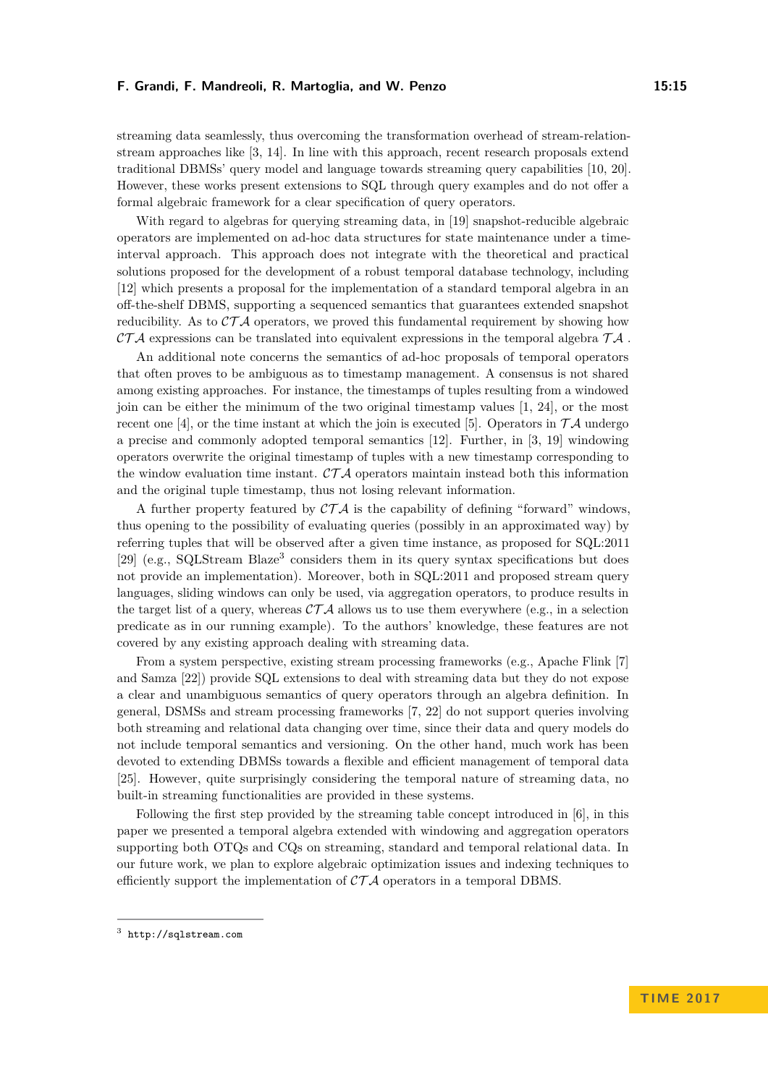streaming data seamlessly, thus overcoming the transformation overhead of stream-relationstream approaches like [\[3,](#page-15-10) [14\]](#page-15-15). In line with this approach, recent research proposals extend traditional DBMSs' query model and language towards streaming query capabilities [\[10,](#page-15-1) [20\]](#page-16-8). However, these works present extensions to SQL through query examples and do not offer a formal algebraic framework for a clear specification of query operators.

With regard to algebras for querying streaming data, in [\[19\]](#page-16-9) snapshot-reducible algebraic operators are implemented on ad-hoc data structures for state maintenance under a timeinterval approach. This approach does not integrate with the theoretical and practical solutions proposed for the development of a robust temporal database technology, including [\[12\]](#page-15-11) which presents a proposal for the implementation of a standard temporal algebra in an off-the-shelf DBMS, supporting a sequenced semantics that guarantees extended snapshot reducibility. As to  $\mathcal{CTA}$  operators, we proved this fundamental requirement by showing how CTA expressions can be translated into equivalent expressions in the temporal algebra  $\mathcal{TA}$ .

An additional note concerns the semantics of ad-hoc proposals of temporal operators that often proves to be ambiguous as to timestamp management. A consensus is not shared among existing approaches. For instance, the timestamps of tuples resulting from a windowed join can be either the minimum of the two original timestamp values [\[1,](#page-15-14) [24\]](#page-16-6), or the most recent one [\[4\]](#page-15-16), or the time instant at which the join is executed [\[5\]](#page-15-17). Operators in  $\mathcal{T} \mathcal{A}$  undergo a precise and commonly adopted temporal semantics [\[12\]](#page-15-11). Further, in [\[3,](#page-15-10) [19\]](#page-16-9) windowing operators overwrite the original timestamp of tuples with a new timestamp corresponding to the window evaluation time instant.  $\mathcal{CTA}$  operators maintain instead both this information and the original tuple timestamp, thus not losing relevant information.

A further property featured by  $\mathcal{CTA}$  is the capability of defining "forward" windows, thus opening to the possibility of evaluating queries (possibly in an approximated way) by referring tuples that will be observed after a given time instance, as proposed for SQL:2011 [\[29\]](#page-16-10) (e.g., SQLStream Blaze<sup>[3](#page-14-0)</sup> considers them in its query syntax specifications but does not provide an implementation). Moreover, both in SQL:2011 and proposed stream query languages, sliding windows can only be used, via aggregation operators, to produce results in the target list of a query, whereas  $\mathcal{CTA}$  allows us to use them everywhere (e.g., in a selection predicate as in our running example). To the authors' knowledge, these features are not covered by any existing approach dealing with streaming data.

From a system perspective, existing stream processing frameworks (e.g., Apache Flink [\[7\]](#page-15-2) and Samza [\[22\]](#page-16-3)) provide SQL extensions to deal with streaming data but they do not expose a clear and unambiguous semantics of query operators through an algebra definition. In general, DSMSs and stream processing frameworks [\[7,](#page-15-2) [22\]](#page-16-3) do not support queries involving both streaming and relational data changing over time, since their data and query models do not include temporal semantics and versioning. On the other hand, much work has been devoted to extending DBMSs towards a flexible and efficient management of temporal data [\[25\]](#page-16-11). However, quite surprisingly considering the temporal nature of streaming data, no built-in streaming functionalities are provided in these systems.

Following the first step provided by the streaming table concept introduced in [\[6\]](#page-15-3), in this paper we presented a temporal algebra extended with windowing and aggregation operators supporting both OTQs and CQs on streaming, standard and temporal relational data. In our future work, we plan to explore algebraic optimization issues and indexing techniques to efficiently support the implementation of  $\mathcal{CTA}$  operators in a temporal DBMS.

<span id="page-14-0"></span> $3$  <http://sqlstream.com>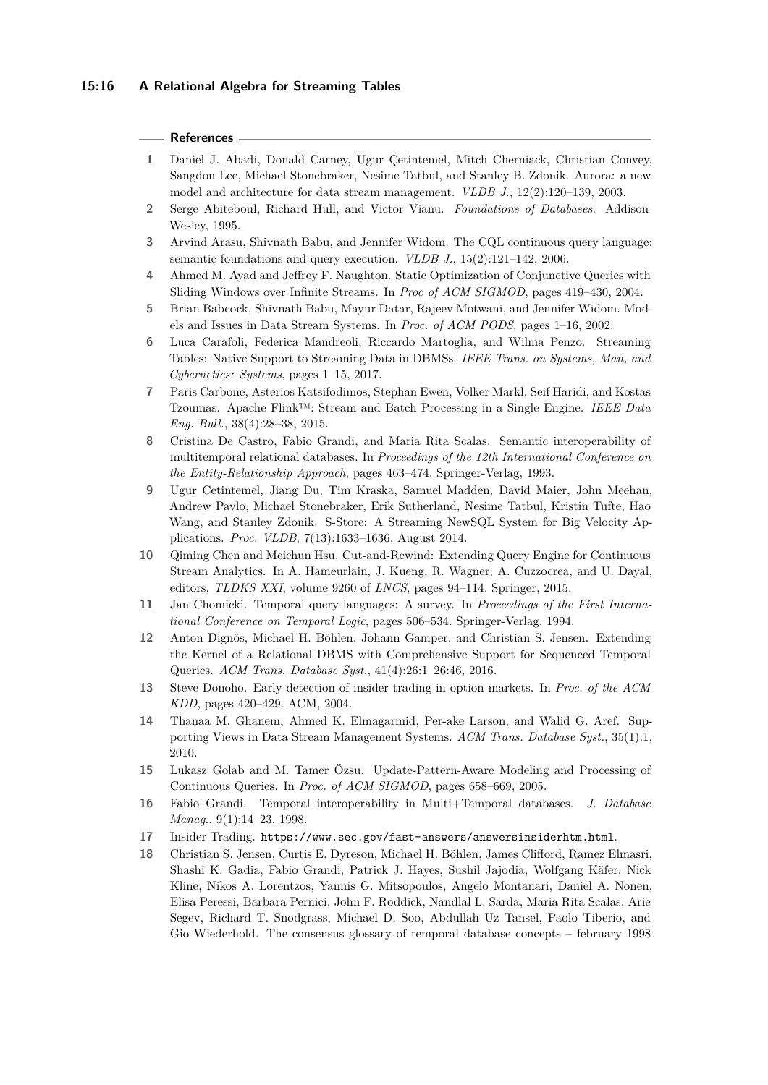## **15:16 A Relational Algebra for Streaming Tables**

## **References**

- <span id="page-15-14"></span>**1** Daniel J. Abadi, Donald Carney, Ugur Çetintemel, Mitch Cherniack, Christian Convey, Sangdon Lee, Michael Stonebraker, Nesime Tatbul, and Stanley B. Zdonik. Aurora: a new model and architecture for data stream management. *VLDB J.*, 12(2):120–139, 2003.
- <span id="page-15-12"></span>**2** Serge Abiteboul, Richard Hull, and Victor Vianu. *Foundations of Databases*. Addison-Wesley, 1995.
- <span id="page-15-10"></span>**3** Arvind Arasu, Shivnath Babu, and Jennifer Widom. The CQL continuous query language: semantic foundations and query execution. *VLDB J.*, 15(2):121–142, 2006.
- <span id="page-15-16"></span>**4** Ahmed M. Ayad and Jeffrey F. Naughton. Static Optimization of Conjunctive Queries with Sliding Windows over Infinite Streams. In *Proc of ACM SIGMOD*, pages 419–430, 2004.
- <span id="page-15-17"></span>**5** Brian Babcock, Shivnath Babu, Mayur Datar, Rajeev Motwani, and Jennifer Widom. Models and Issues in Data Stream Systems. In *Proc. of ACM PODS*, pages 1–16, 2002.
- <span id="page-15-3"></span>**6** Luca Carafoli, Federica Mandreoli, Riccardo Martoglia, and Wilma Penzo. Streaming Tables: Native Support to Streaming Data in DBMSs. *IEEE Trans. on Systems, Man, and Cybernetics: Systems*, pages 1–15, 2017.
- <span id="page-15-2"></span>**7** Paris Carbone, Asterios Katsifodimos, Stephan Ewen, Volker Markl, Seif Haridi, and Kostas Tzoumas. Apache Flink™: Stream and Batch Processing in a Single Engine. *IEEE Data Eng. Bull.*, 38(4):28–38, 2015.
- <span id="page-15-9"></span>**8** Cristina De Castro, Fabio Grandi, and Maria Rita Scalas. Semantic interoperability of multitemporal relational databases. In *Proceedings of the 12th International Conference on the Entity-Relationship Approach*, pages 463–474. Springer-Verlag, 1993.
- <span id="page-15-0"></span>**9** Ugur Cetintemel, Jiang Du, Tim Kraska, Samuel Madden, David Maier, John Meehan, Andrew Pavlo, Michael Stonebraker, Erik Sutherland, Nesime Tatbul, Kristin Tufte, Hao Wang, and Stanley Zdonik. S-Store: A Streaming NewSQL System for Big Velocity Applications. *Proc. VLDB*, 7(13):1633–1636, August 2014.
- <span id="page-15-1"></span>**10** Qiming Chen and Meichun Hsu. Cut-and-Rewind: Extending Query Engine for Continuous Stream Analytics. In A. Hameurlain, J. Kueng, R. Wagner, A. Cuzzocrea, and U. Dayal, editors, *TLDKS XXI*, volume 9260 of *LNCS*, pages 94–114. Springer, 2015.
- <span id="page-15-8"></span>**11** Jan Chomicki. Temporal query languages: A survey. In *Proceedings of the First International Conference on Temporal Logic*, pages 506–534. Springer-Verlag, 1994.
- <span id="page-15-11"></span>**12** Anton Dignös, Michael H. Böhlen, Johann Gamper, and Christian S. Jensen. Extending the Kernel of a Relational DBMS with Comprehensive Support for Sequenced Temporal Queries. *ACM Trans. Database Syst.*, 41(4):26:1–26:46, 2016.
- <span id="page-15-5"></span>**13** Steve Donoho. Early detection of insider trading in option markets. In *Proc. of the ACM KDD*, pages 420–429. ACM, 2004.
- <span id="page-15-15"></span>**14** Thanaa M. Ghanem, Ahmed K. Elmagarmid, Per-ake Larson, and Walid G. Aref. Supporting Views in Data Stream Management Systems. *ACM Trans. Database Syst.*, 35(1):1, 2010.
- <span id="page-15-13"></span>**15** Lukasz Golab and M. Tamer Özsu. Update-Pattern-Aware Modeling and Processing of Continuous Queries. In *Proc. of ACM SIGMOD*, pages 658–669, 2005.
- <span id="page-15-6"></span>**16** Fabio Grandi. Temporal interoperability in Multi+Temporal databases. *J. Database Manag.*, 9(1):14–23, 1998.
- <span id="page-15-4"></span>**17** Insider Trading. <https://www.sec.gov/fast-answers/answersinsiderhtm.html>.
- <span id="page-15-7"></span>**18** Christian S. Jensen, Curtis E. Dyreson, Michael H. Böhlen, James Clifford, Ramez Elmasri, Shashi K. Gadia, Fabio Grandi, Patrick J. Hayes, Sushil Jajodia, Wolfgang Käfer, Nick Kline, Nikos A. Lorentzos, Yannis G. Mitsopoulos, Angelo Montanari, Daniel A. Nonen, Elisa Peressi, Barbara Pernici, John F. Roddick, Nandlal L. Sarda, Maria Rita Scalas, Arie Segev, Richard T. Snodgrass, Michael D. Soo, Abdullah Uz Tansel, Paolo Tiberio, and Gio Wiederhold. The consensus glossary of temporal database concepts – february 1998